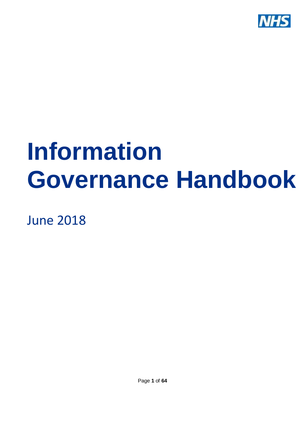

# **Information Governance Handbook**

June 2018

Page **1** of **64**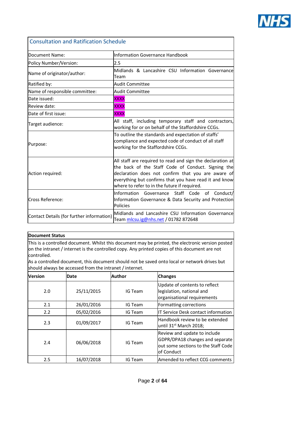

<span id="page-1-0"></span>

| <b>Consultation and Ratification Schedule</b>                                                                                           |                                                                                                                                                                                                                                                                                  |  |
|-----------------------------------------------------------------------------------------------------------------------------------------|----------------------------------------------------------------------------------------------------------------------------------------------------------------------------------------------------------------------------------------------------------------------------------|--|
| Document Name:                                                                                                                          | Information Governance Handbook                                                                                                                                                                                                                                                  |  |
| Policy Number/Version:                                                                                                                  | 2.5                                                                                                                                                                                                                                                                              |  |
| Name of originator/author:                                                                                                              | Midlands & Lancashire CSU Information Governance<br>Team                                                                                                                                                                                                                         |  |
| Ratified by:                                                                                                                            | <b>Audit Committee</b>                                                                                                                                                                                                                                                           |  |
| Name of responsible committee:                                                                                                          | <b>Audit Committee</b>                                                                                                                                                                                                                                                           |  |
| Date issued:<br><b>XXXX</b>                                                                                                             |                                                                                                                                                                                                                                                                                  |  |
| Review date:                                                                                                                            | <b>XXXX</b>                                                                                                                                                                                                                                                                      |  |
| Date of first issue:                                                                                                                    | <b>XXXX</b>                                                                                                                                                                                                                                                                      |  |
| Target audience:                                                                                                                        | All staff, including temporary staff and contractors,<br>working for or on behalf of the Staffordshire CCGs.                                                                                                                                                                     |  |
| Purpose:                                                                                                                                | To outline the standards and expectation of staffs'<br>compliance and expected code of conduct of all staff<br>working for the Staffordshire CCGs.                                                                                                                               |  |
| Action required:                                                                                                                        | All staff are required to read and sign the declaration at<br>the back of the Staff Code of Conduct. Signing the<br>declaration does not confirm that you are aware of<br>everything but confirms that you have read it and know<br>where to refer to in the future if required. |  |
| Cross Reference:                                                                                                                        | Information Governance Staff Code of Conduct/<br>Information Governance & Data Security and Protection<br>Policies                                                                                                                                                               |  |
| Midlands and Lancashire CSU Information Governance<br>Contact Details (for further information)<br>Team mlcsu.ig@nhs.net / 01782 872648 |                                                                                                                                                                                                                                                                                  |  |

#### **Document Status**

This is a controlled document. Whilst this document may be printed, the electronic version posted on the intranet / internet is the controlled copy. Any printed copies of this document are not controlled.

As a controlled document, this document should not be saved onto local or network drives but should always be accessed from the intranet / internet.

| <b>Version</b> | Date       | Author  | <b>Changes</b>                                                                                                       |
|----------------|------------|---------|----------------------------------------------------------------------------------------------------------------------|
| 2.0            | 25/11/2015 | IG Team | Update of contents to reflect<br>legislation, national and<br>organisational requirements                            |
| 2.1            | 26/01/2016 | IG Team | Formatting corrections                                                                                               |
| 2.2            | 05/02/2016 | IG Team | IT Service Desk contact information                                                                                  |
| 2.3            | 01/09/2017 | IG Team | Handbook review to be extended<br>until 31 <sup>st</sup> March 2018;                                                 |
| 2.4            | 06/06/2018 | IG Team | Review and update to include<br>GDPR/DPA18 changes and separate<br>out some sections to the Staff Code<br>of Conduct |
| 2.5            | 16/07/2018 | IG Team | Amended to reflect CCG comments                                                                                      |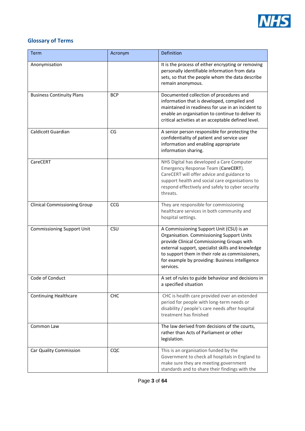

#### <span id="page-2-0"></span>**Glossary of Terms**

| <b>Term</b>                         | Acronym    | Definition                                                                                                                                                                                                                                                                                                  |
|-------------------------------------|------------|-------------------------------------------------------------------------------------------------------------------------------------------------------------------------------------------------------------------------------------------------------------------------------------------------------------|
| Anonymisation                       |            | It is the process of either encrypting or removing<br>personally identifiable information from data<br>sets, so that the people whom the data describe<br>remain anonymous.                                                                                                                                 |
| <b>Business Continuity Plans</b>    | <b>BCP</b> | Documented collection of procedures and<br>information that is developed, compiled and<br>maintained in readiness for use in an incident to<br>enable an organisation to continue to deliver its<br>critical activities at an acceptable defined level.                                                     |
| Caldicott Guardian                  | CG         | A senior person responsible for protecting the<br>confidentiality of patient and service user<br>information and enabling appropriate<br>information sharing.                                                                                                                                               |
| CareCERT                            |            | NHS Digital has developed a Care Computer<br>Emergency Response Team (CareCERT).<br>CareCERT will offer advice and guidance to<br>support health and social care organisations to<br>respond effectively and safely to cyber security<br>threats.                                                           |
| <b>Clinical Commissioning Group</b> | CCG        | They are responsible for commissioning<br>healthcare services in both community and<br>hospital settings.                                                                                                                                                                                                   |
| <b>Commissioning Support Unit</b>   | CSU        | A Commissioning Support Unit (CSU) is an<br>Organisation. Commissioning Support Units<br>provide Clinical Commissioning Groups with<br>external support, specialist skills and knowledge<br>to support them in their role as commissioners,<br>for example by providing: Business intelligence<br>services. |
| Code of Conduct                     |            | A set of rules to guide behaviour and decisions in<br>a specified situation                                                                                                                                                                                                                                 |
| <b>Continuing Healthcare</b>        | CHC        | CHC is health care provided over an extended<br>period for people with long-term needs or<br>disability / people's care needs after hospital<br>treatment has finished                                                                                                                                      |
| Common Law                          |            | The law derived from decisions of the courts,<br>rather than Acts of Parliament or other<br>legislation.                                                                                                                                                                                                    |
| Car Quality Commission              | CQC        | This is an organisation funded by the<br>Government to check all hospitals in England to<br>make sure they are meeting government<br>standards and to share their findings with the                                                                                                                         |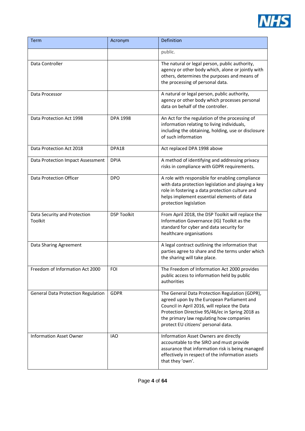

| Term                                      | Acronym            | Definition                                                                                                                                                                                                                                                                         |
|-------------------------------------------|--------------------|------------------------------------------------------------------------------------------------------------------------------------------------------------------------------------------------------------------------------------------------------------------------------------|
|                                           |                    | public.                                                                                                                                                                                                                                                                            |
| Data Controller                           |                    | The natural or legal person, public authority,<br>agency or other body which, alone or jointly with<br>others, determines the purposes and means of<br>the processing of personal data.                                                                                            |
| Data Processor                            |                    | A natural or legal person, public authority,<br>agency or other body which processes personal<br>data on behalf of the controller.                                                                                                                                                 |
| Data Protection Act 1998                  | <b>DPA 1998</b>    | An Act for the regulation of the processing of<br>information relating to living individuals,<br>including the obtaining, holding, use or disclosure<br>of such information                                                                                                        |
| Data Protection Act 2018                  | DPA18              | Act replaced DPA 1998 above                                                                                                                                                                                                                                                        |
| Data Protection Impact Assessment         | <b>DPIA</b>        | A method of identifying and addressing privacy<br>risks in compliance with GDPR requirements.                                                                                                                                                                                      |
| <b>Data Protection Officer</b>            | <b>DPO</b>         | A role with responsible for enabling compliance<br>with data protection legislation and playing a key<br>role in fostering a data protection culture and<br>helps implement essential elements of data<br>protection legislation                                                   |
| Data Security and Protection<br>Toolkit   | <b>DSP Toolkit</b> | From April 2018, the DSP Toolkit will replace the<br>Information Governance (IG) Toolkit as the<br>standard for cyber and data security for<br>healthcare organisations                                                                                                            |
| Data Sharing Agreement                    |                    | A legal contract outlining the information that<br>parties agree to share and the terms under which<br>the sharing will take place.                                                                                                                                                |
| Freedom of Information Act 2000           | <b>FOI</b>         | The Freedom of Information Act 2000 provides<br>public access to information held by public<br>authorities                                                                                                                                                                         |
| <b>General Data Protection Regulation</b> | <b>GDPR</b>        | The General Data Protection Regulation (GDPR),<br>agreed upon by the European Parliament and<br>Council in April 2016, will replace the Data<br>Protection Directive 95/46/ec in Spring 2018 as<br>the primary law regulating how companies<br>protect EU citizens' personal data. |
| <b>Information Asset Owner</b>            | <b>IAO</b>         | Information Asset Owners are directly<br>accountable to the SIRO and must provide<br>assurance that information risk is being managed<br>effectively in respect of the information assets<br>that they 'own'.                                                                      |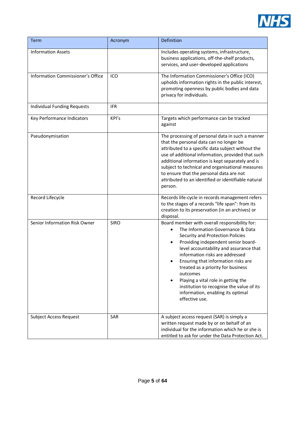

| <b>Term</b>                        | Acronym     | Definition                                                                                                                                                                                                                                                                                                                                                                                                                                                                      |
|------------------------------------|-------------|---------------------------------------------------------------------------------------------------------------------------------------------------------------------------------------------------------------------------------------------------------------------------------------------------------------------------------------------------------------------------------------------------------------------------------------------------------------------------------|
| <b>Information Assets</b>          |             | Includes operating systems, infrastructure,<br>business applications, off-the-shelf products,<br>services, and user-developed applications                                                                                                                                                                                                                                                                                                                                      |
| Information Commissioner's Office  | ICO         | The Information Commissioner's Office (ICO)<br>upholds information rights in the public interest,<br>promoting openness by public bodies and data<br>privacy for individuals.                                                                                                                                                                                                                                                                                                   |
| <b>Individual Funding Requests</b> | <b>IFR</b>  |                                                                                                                                                                                                                                                                                                                                                                                                                                                                                 |
| Key Performance Indicators         | KPI's       | Targets which performance can be tracked<br>against                                                                                                                                                                                                                                                                                                                                                                                                                             |
| Pseudonymisation                   |             | The processing of personal data in such a manner<br>that the personal data can no longer be<br>attributed to a specific data subject without the<br>use of additional information, provided that such<br>additional information is kept separately and is<br>subject to technical and organisational measures<br>to ensure that the personal data are not<br>attributed to an identified or identifiable natural<br>person.                                                     |
| Record Lifecycle                   |             | Records life-cycle in records management refers<br>to the stages of a records "life span": from its<br>creation to its preservation (in an archives) or<br>disposal.                                                                                                                                                                                                                                                                                                            |
| Senior Information Risk Owner      | <b>SIRO</b> | Board member with overall responsibility for:<br>The Information Governance & Data<br>Security and Protection Policies<br>Providing independent senior board-<br>level accountability and assurance that<br>information risks are addressed<br>Ensuring that information risks are<br>treated as a priority for business<br>outcomes<br>Playing a vital role in getting the<br>institution to recognise the value of its<br>information, enabling its optimal<br>effective use. |
| <b>Subject Access Request</b>      | SAR         | A subject access request (SAR) is simply a<br>written request made by or on behalf of an<br>individual for the information which he or she is<br>entitled to ask for under the Data Protection Act.                                                                                                                                                                                                                                                                             |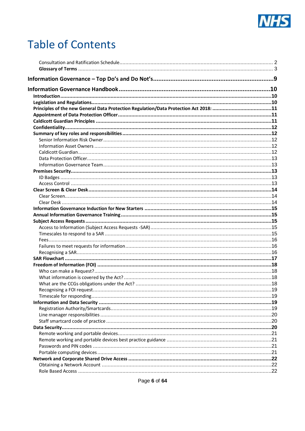

# **Table of Contents**

| Principles of the new General Data Protection Regulation/Data Protection Act 2018: 11 |  |
|---------------------------------------------------------------------------------------|--|
|                                                                                       |  |
|                                                                                       |  |
|                                                                                       |  |
|                                                                                       |  |
|                                                                                       |  |
|                                                                                       |  |
|                                                                                       |  |
|                                                                                       |  |
|                                                                                       |  |
|                                                                                       |  |
|                                                                                       |  |
|                                                                                       |  |
|                                                                                       |  |
|                                                                                       |  |
|                                                                                       |  |
|                                                                                       |  |
|                                                                                       |  |
|                                                                                       |  |
|                                                                                       |  |
|                                                                                       |  |
|                                                                                       |  |
|                                                                                       |  |
|                                                                                       |  |
|                                                                                       |  |
|                                                                                       |  |
|                                                                                       |  |
|                                                                                       |  |
|                                                                                       |  |
|                                                                                       |  |
|                                                                                       |  |
|                                                                                       |  |
|                                                                                       |  |
|                                                                                       |  |
|                                                                                       |  |
|                                                                                       |  |
|                                                                                       |  |
|                                                                                       |  |
|                                                                                       |  |
|                                                                                       |  |
|                                                                                       |  |
|                                                                                       |  |
|                                                                                       |  |

Page 6 of 64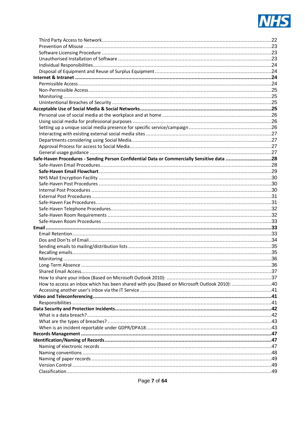

| Safe-Haven Procedures - Sending Person Confidential Data or Commercially Sensitive data 28  |
|---------------------------------------------------------------------------------------------|
|                                                                                             |
|                                                                                             |
|                                                                                             |
|                                                                                             |
|                                                                                             |
|                                                                                             |
|                                                                                             |
|                                                                                             |
|                                                                                             |
|                                                                                             |
|                                                                                             |
|                                                                                             |
|                                                                                             |
|                                                                                             |
|                                                                                             |
|                                                                                             |
|                                                                                             |
|                                                                                             |
|                                                                                             |
|                                                                                             |
|                                                                                             |
|                                                                                             |
|                                                                                             |
|                                                                                             |
|                                                                                             |
|                                                                                             |
|                                                                                             |
|                                                                                             |
|                                                                                             |
|                                                                                             |
|                                                                                             |
|                                                                                             |
|                                                                                             |
|                                                                                             |
|                                                                                             |
|                                                                                             |
|                                                                                             |
|                                                                                             |
| How to access an inbox which has been shared with you (Based on Microsoft Outlook 2010): 40 |
|                                                                                             |
|                                                                                             |
|                                                                                             |
|                                                                                             |
|                                                                                             |
|                                                                                             |
|                                                                                             |
|                                                                                             |
|                                                                                             |
|                                                                                             |
|                                                                                             |
|                                                                                             |
|                                                                                             |
|                                                                                             |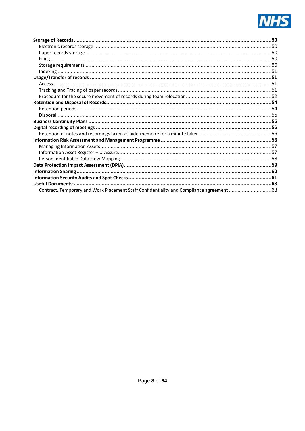

| Contract, Temporary and Work Placement Staff Confidentiality and Compliance agreement 63 |  |
|------------------------------------------------------------------------------------------|--|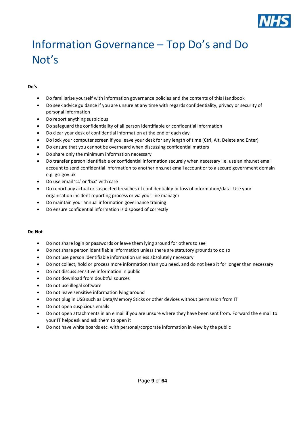

# <span id="page-8-0"></span>Information Governance – Top Do's and Do Not's

#### **Do's**

- Do familiarise yourself with information governance policies and the contents of this Handbook
- Do seek advice guidance if you are unsure at any time with regards confidentiality, privacy or security of personal information
- Do report anything suspicious
- Do safeguard the confidentiality of all person identifiable or confidential information
- Do clear your desk of confidential information at the end of each day
- Do lock your computer screen if you leave your desk for any length of time (Ctrl, Alt, Delete and Enter)
- Do ensure that you cannot be overheard when discussing confidential matters
- Do share only the minimum information necessary
- Do transfer person identifiable or confidential information securely when necessary i.e. use an nhs.net email account to send confidential information to another nhs.net email account or to a secure government domain e.g. gsi.gov.uk
- Do use email 'cc' or 'bcc' with care
- Do report any actual or suspected breaches of confidentiality or loss of information/data. Use your organisation incident reporting process or via your line manager
- Do maintain your annual information governance training
- Do ensure confidential information is disposed of correctly

#### **Do Not**

- Do not share login or passwords or leave them lying around for others to see
- Do not share person identifiable information unless there are statutory grounds to do so
- Do not use person identifiable information unless absolutely necessary
- Do not collect, hold or process more information than you need, and do not keep it for longer than necessary
- Do not discuss sensitive information in public
- Do not download from doubtful sources
- Do not use illegal software
- Do not leave sensitive information lying around
- Do not plug in USB such as Data/Memory Sticks or other devices without permission from IT
- Do not open suspicious emails
- Do not open attachments in an e mail if you are unsure where they have been sent from. Forward the e mail to your IT helpdesk and ask them to open it
- Do not have white boards etc. with personal/corporate information in view by the public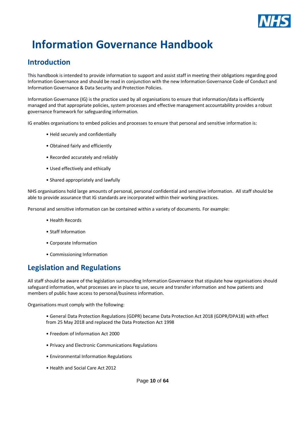

# <span id="page-9-0"></span>**Information Governance Handbook**

# <span id="page-9-1"></span>**Introduction**

This handbook is intended to provide information to support and assist staff in meeting their obligations regarding good Information Governance and should be read in conjunction with the new Information Governance Code of Conduct and Information Governance & Data Security and Protection Policies.

Information Governance (IG) is the practice used by all organisations to ensure that information/data is efficiently managed and that appropriate policies, system processes and effective management accountability provides a robust governance framework for safeguarding information.

IG enables organisations to embed policies and processes to ensure that personal and sensitive information is:

- Held securely and confidentially
- Obtained fairly and efficiently
- Recorded accurately and reliably
- Used effectively and ethically
- Shared appropriately and lawfully

NHS organisations hold large amounts of personal, personal confidential and sensitive information. All staff should be able to provide assurance that IG standards are incorporated within their working practices.

Personal and sensitive information can be contained within a variety of documents. For example:

- Health Records
- Staff Information
- Corporate Information
- Commissioning Information

# <span id="page-9-2"></span>**Legislation and Regulations**

All staff should be aware of the legislation surrounding Information Governance that stipulate how organisations should safeguard information, what processes are in place to use, secure and transfer information and how patients and members of public have access to personal/business information.

Organisations must comply with the following:

- General Data Protection Regulations (GDPR) became Data Protection Act 2018 (GDPR/DPA18) with effect from 25 May 2018 and replaced the Data Protection Act 1998
- Freedom of Information Act 2000
- Privacy and Electronic Communications Regulations
- Environmental Information Regulations
- Health and Social Care Act 2012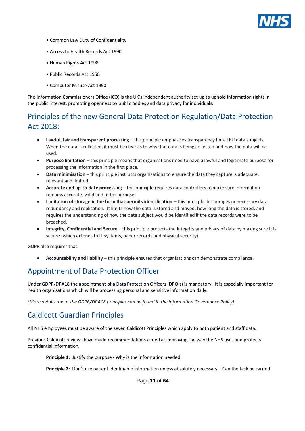

- Common Law Duty of Confidentiality
- Access to Health Records Act 1990
- Human Rights Act 1998
- Public Records Act 1958
- Computer Misuse Act 1990

The Information Commissioners Office (ICO) is the UK's independent authority set up to uphold information rights in the public interest, promoting openness by public bodies and data privacy for individuals.

# <span id="page-10-0"></span>Principles of the new General Data Protection Regulation/Data Protection Act 2018:

- **Lawful, fair and transparent processing**  this principle emphasises transparency for all EU data subjects. When the data is collected, it must be clear as to why that data is being collected and how the data will be used.
- **Purpose limitation** this principle means that organisations need to have a lawful and legitimate purpose for processing the information in the first place.
- **Data minimisation** this principle instructs organisations to ensure the data they capture is adequate, relevant and limited.
- **Accurate and up-to-date processing** this principle requires data controllers to make sure information remains accurate, valid and fit for purpose.
- **Limitation of storage in the form that permits identification** this principle discourages unnecessary data redundancy and replication. It limits how the data is stored and moved, how long the data is stored, and requires the understanding of how the data subject would be identified if the data records were to be breached.
- **Integrity, Confidential and Secure** this principle protects the integrity and privacy of data by making sure it is secure (which extends to IT systems, paper records and physical security).

GDPR also requires that:

• **Accountability and liability** – this principle ensures that organisations can demonstrate compliance.

# <span id="page-10-1"></span>Appointment of Data Protection Officer

Under GDPR/DPA18 the appointment of a Data Protection Officers (DPO's) is mandatory. It is especially important for health organisations which will be processing personal and sensitive information daily.

*(More details about the GDPR/DPA18 principles can be found in the Information Governance Policy)*

# <span id="page-10-2"></span>Caldicott Guardian Principles

All NHS employees must be aware of the seven Caldicott Principles which apply to both patient and staff data.

Previous Caldicott reviews have made recommendations aimed at improving the way the NHS uses and protects confidential information.

**Principle 1:** Justify the purpose - Why is the information needed

**Principle 2:** Don't use patient identifiable information unless absolutely necessary – Can the task be carried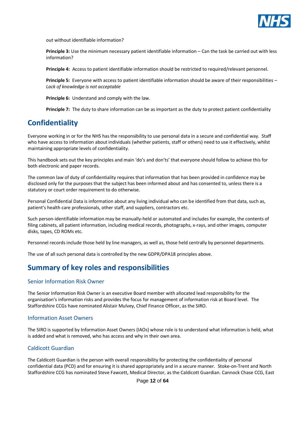

out without identifiable information?

**Principle 3:** Use the minimum necessary patient identifiable information – Can the task be carried out with less information?

**Principle 4:** Access to patient identifiable information should be restricted to required/relevant personnel.

**Principle 5:** Everyone with access to patient identifiable information should be aware of their responsibilities – *Lack of knowledge is not acceptable*

**Principle 6:** Understand and comply with the law.

**Principle 7:** The duty to share information can be as important as the duty to protect patient confidentiality

# <span id="page-11-0"></span>**Confidentiality**

Everyone working in or for the NHS has the responsibility to use personal data in a secure and confidential way. Staff who have access to information about individuals (whether patients, staff or others) need to use it effectively, whilst maintaining appropriate levels of confidentiality.

This handbook sets out the key principles and main 'do's and don'ts' that everyone should follow to achieve this for both electronic and paper records.

The common law of duty of confidentiality requires that information that has been provided in confidence may be disclosed only for the purposes that the subject has been informed about and has consented to, unless there is a statutory or court order requirement to do otherwise.

Personal Confidential Data is information about any living individual who can be identified from that data, such as, patient's health care professionals, other staff, and suppliers, contractors etc.

Such person-identifiable information may be manually-held or automated and includes for example, the contents of filing cabinets, all patient information, including medical records, photographs, x-rays, and other images, computer disks, tapes, CD ROMs etc.

Personnel records include those held by line managers, as well as, those held centrally by personnel departments.

The use of all such personal data is controlled by the new GDPR/DPA18 principles above.

# <span id="page-11-1"></span>**Summary of key roles and responsibilities**

#### <span id="page-11-2"></span>Senior Information Risk Owner

The Senior Information Risk Owner is an executive Board member with allocated lead responsibility for the organisation's information risks and provides the focus for management of information risk at Board level. The Staffordshire CCGs have nominated Alistair Mulvey, Chief Finance Officer, as the SIRO.

#### <span id="page-11-3"></span>Information Asset Owners

The SIRO is supported by Information Asset Owners (IAOs) whose role is to understand what information is held, what is added and what is removed, who has access and why in their own area.

#### <span id="page-11-4"></span>Caldicott Guardian

The Caldicott Guardian is the person with overall responsibility for protecting the confidentiality of personal confidential data (PCD) and for ensuring it is shared appropriately and in a secure manner. Stoke-on-Trent and North Staffordshire CCG has nominated Steve Fawcett, Medical Director, as the Caldicott Guardian. Cannock Chase CCG, East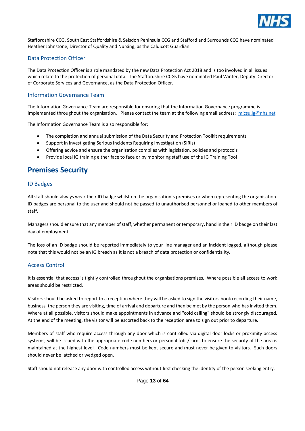

Staffordshire CCG, South East Staffordshire & Seisdon Peninsula CCG and Stafford and Surrounds CCG have nominated Heather Johnstone, Director of Quality and Nursing, as the Caldicott Guardian.

#### <span id="page-12-0"></span>Data Protection Officer

The Data Protection Officer is a role mandated by the new Data Protection Act 2018 and is too involved in all issues which relate to the protection of personal data. The Staffordshire CCGs have nominated Paul Winter, Deputy Director of Corporate Services and Governance, as the Data Protection Officer.

#### <span id="page-12-1"></span>Information Governance Team

The Information Governance Team are responsible for ensuring that the Information Governance programme is implemented throughout the organisation. Please contact the team at the following email address: [mlcsu.ig@nhs.net](mailto:mlcsu.ig@nhs.net)

The Information Governance Team is also responsible for:

- The completion and annual submission of the Data Security and Protection Toolkit requirements
- Support in investigating Serious Incidents Requiring Investigation (SIRIs)
- Offering advice and ensure the organisation complies with legislation, policies and protocols
- Provide local IG training either face to face or by monitoring staff use of the IG Training Tool

# <span id="page-12-2"></span>**Premises Security**

#### <span id="page-12-3"></span>ID Badges

All staff should always wear their ID badge whilst on the organisation's premises or when representing the organisation. ID badges are personal to the user and should not be passed to unauthorised personnel or loaned to other members of staff.

Managers should ensure that any member of staff, whether permanent or temporary, hand in their ID badge on their last day of employment.

The loss of an ID badge should be reported immediately to your line manager and an incident logged, although please note that this would not be an IG breach as it is not a breach of data protection or confidentiality.

#### <span id="page-12-4"></span>Access Control

It is essential that access is tightly controlled throughout the organisations premises. Where possible all access to work areas should be restricted.

Visitors should be asked to report to a reception where they will be asked to sign the visitors book recording their name, business, the person they are visiting, time of arrival and departure and then be met by the person who has invited them. Where at all possible, visitors should make appointments in advance and "cold calling" should be strongly discouraged. At the end of the meeting, the visitor will be escorted back to the reception area to sign out prior to departure.

Members of staff who require access through any door which is controlled via digital door locks or proximity access systems, will be issued with the appropriate code numbers or personal fobs/cards to ensure the security of the area is maintained at the highest level. Code numbers must be kept secure and must never be given to visitors. Such doors should never be latched or wedged open.

Staff should not release any door with controlled access without first checking the identity of the person seeking entry.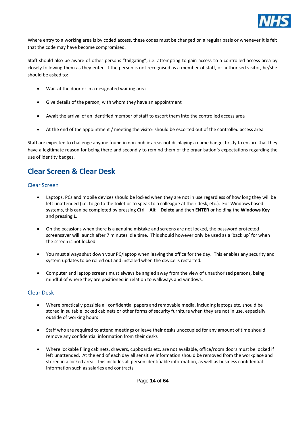

Where entry to a working area is by coded access, these codes must be changed on a regular basis or whenever it is felt that the code may have become compromised.

Staff should also be aware of other persons "tailgating", i.e. attempting to gain access to a controlled access area by closely following them as they enter. If the person is not recognised as a member of staff, or authorised visitor, he/she should be asked to:

- Wait at the door or in a designated waiting area
- Give details of the person, with whom they have an appointment
- Await the arrival of an identified member of staff to escort them into the controlled access area
- At the end of the appointment / meeting the visitor should be escorted out of the controlled access area

Staff are expected to challenge anyone found in non-public areas not displaying a name badge, firstly to ensure that they have a legitimate reason for being there and secondly to remind them of the organisation's expectations regarding the use of identity badges.

# <span id="page-13-0"></span>**Clear Screen & Clear Desk**

#### <span id="page-13-1"></span>Clear Screen

- Laptops, PCs and mobile devices should be locked when they are not in use regardless of how long they will be left unattended (i.e. to go to the toilet or to speak to a colleague at their desk, etc.). For Windows based systems, this can be completed by pressing **Ctrl** – **Alt** – **Delete** and then **ENTER** or holding the **Windows Key** and pressing **L**.
- On the occasions when there is a genuine mistake and screens are not locked, the password protected screensaver will launch after 7 minutes idle time. This should however only be used as a 'back up' for when the screen is not locked.
- You must always shut down your PC/laptop when leaving the office for the day. This enables any security and system updates to be rolled out and installed when the device is restarted.
- Computer and laptop screens must always be angled away from the view of unauthorised persons, being mindful of where they are positioned in relation to walkways and windows.

#### <span id="page-13-2"></span>Clear Desk

- Where practically possible all confidential papers and removable media, including laptops etc. should be stored in suitable locked cabinets or other forms of security furniture when they are not in use, especially outside of working hours
- Staff who are required to attend meetings or leave their desks unoccupied for any amount of time should remove any confidential information from their desks
- Where lockable filing cabinets, drawers, cupboards etc. are not available, office/room doors must be locked if left unattended. At the end of each day all sensitive information should be removed from the workplace and stored in a locked area. This includes all person identifiable information, as well as business confidential information such as salaries and contracts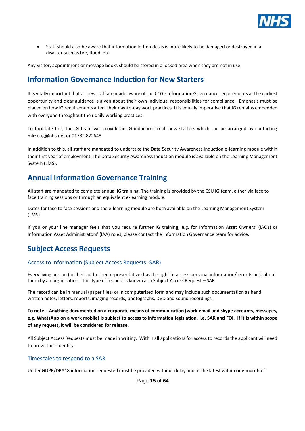

• Staff should also be aware that information left on desks is more likely to be damaged or destroyed in a disaster such as fire, flood, etc

Any visitor, appointment or message books should be stored in a locked area when they are not in use.

# <span id="page-14-0"></span>**Information Governance Induction for New Starters**

It is vitally important that all new staff are made aware of the CCG's Information Governance requirements at the earliest opportunity and clear guidance is given about their own individual responsibilities for compliance. Emphasis must be placed on how IG requirements affect their day-to-day work practices. It is equally imperative that IG remains embedded with everyone throughout their daily working practices.

To facilitate this, the IG team will provide an IG induction to all new starters which can be arranged by contacting mlcsu.ig@nhs.net or 01782 872648

In addition to this, all staff are mandated to undertake the Data Security Awareness Induction e-learning module within their first year of employment. The Data Security Awareness Induction module is available on the Learning Management System (LMS).

# <span id="page-14-1"></span>**Annual Information Governance Training**

All staff are mandated to complete annual IG training. The training is provided by the CSU IG team, either via face to face training sessions or through an equivalent e-learning module.

Dates for face to face sessions and the e-learning module are both available on the Learning Management System (LMS)

If you or your line manager feels that you require further IG training, e.g. for Information Asset Owners' (IAOs) or Information Asset Administrators' (IAA) roles, please contact the Information Governance team for advice.

# <span id="page-14-2"></span>**Subject Access Requests**

#### <span id="page-14-3"></span>Access to Information (Subject Access Requests -SAR)

Every living person (or their authorised representative) has the right to access personal information/records held about them by an organisation. This type of request is known as a Subject Access Request – SAR.

The record can be in manual (paper files) or in computerised form and may include such documentation as hand written notes, letters, reports, imaging records, photographs, DVD and sound recordings.

**To note – Anything documented on a corporate means of communication (work email and skype accounts, messages, e.g. WhatsApp on a work mobile) is subject to access to information legislation, i.e. SAR and FOI. If it is within scope of any request, it will be considered for release.**

All Subject Access Requests must be made in writing. Within all applications for access to records the applicant will need to prove their identity.

#### <span id="page-14-4"></span>Timescales to respond to a SAR

Under GDPR/DPA18 information requested must be provided without delay and at the latest within **one month** of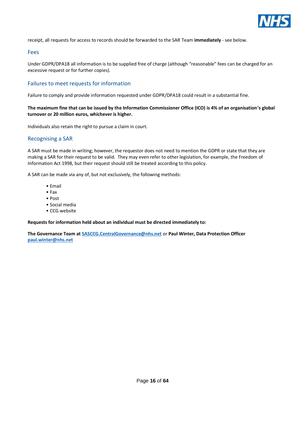

receipt, all requests for access to records should be forwarded to the SAR Team **immediately** - see below.

#### <span id="page-15-0"></span>Fees

Under GDPR/DPA18 all information is to be supplied free of charge (although "reasonable" fees can be charged for an excessive request or for further copies).

#### <span id="page-15-1"></span>Failures to meet requests for information

Failure to comply and provide information requested under GDPR/DPA18 could result in a substantial fine.

#### **The maximum fine that can be issued by the Information Commissioner Office (ICO) is 4% of an organisation's global turnover or 20 million euros, whichever is higher.**

Individuals also retain the right to pursue a claim in court.

#### <span id="page-15-2"></span>Recognising a SAR

A SAR must be made in writing; however, the requestor does not need to mention the GDPR or state that they are making a SAR for their request to be valid. They may even refer to other legislation, for example, the Freedom of Information Act 1998, but their request should still be treated according to this policy.

A SAR can be made via any of, but not exclusively, the following methods:

- Email
- Fax
- Post
- Social media
- CCG website

**Requests for information held about an individual must be directed immediately to:**

**The Governance Team at [SASCCG.CentralGovernance@nhs.net](mailto:SASCCG.CentralGovernance@nhs.net)** or **Paul Winter, Data Protection Officer [paul.winter@nhs.net](mailto:paul.winter@nhs.net)**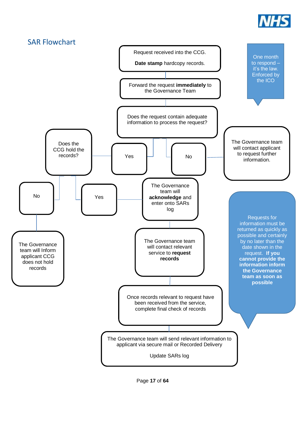

<span id="page-16-0"></span>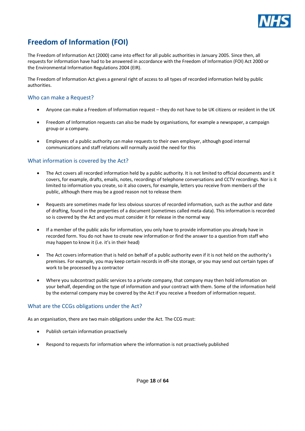

# <span id="page-17-0"></span>**Freedom of Information (FOI)**

The Freedom of Information Act (2000) came into effect for all public authorities in January 2005. Since then, all requests for information have had to be answered in accordance with the Freedom of Information (FOI) Act 2000 or the Environmental Information Regulations 2004 (EIR).

The Freedom of Information Act gives a general right of access to all types of recorded information held by public authorities.

#### <span id="page-17-1"></span>Who can make a Request?

- Anyone can make a Freedom of Information request they do not have to be UK citizens or resident in the UK
- Freedom of Information requests can also be made by organisations, for example a newspaper, a campaign group or a company.
- Employees of a public authority can make requests to their own employer, although good internal communications and staff relations will normally avoid the need for this

#### <span id="page-17-2"></span>What information is covered by the Act?

- The Act covers all recorded information held by a public authority. It is not limited to official documents and it covers, for example, drafts, emails, notes, recordings of telephone conversations and CCTV recordings. Nor is it limited to information you create, so it also covers, for example, letters you receive from members of the public, although there may be a good reason not to release them
- Requests are sometimes made for less obvious sources of recorded information, such as the author and date of drafting, found in the properties of a document (sometimes called meta-data). This information is recorded so is covered by the Act and you must consider it for release in the normal way
- If a member of the public asks for information, you only have to provide information you already have in recorded form. You do not have to create new information or find the answer to a question from staff who may happen to know it (i.e. it's in their head)
- The Act covers information that is held on behalf of a public authority even if it is not held on the authority's premises. For example, you may keep certain records in off-site storage, or you may send out certain types of work to be processed by a contractor
- Where you subcontract public services to a private company, that company may then hold information on your behalf, depending on the type of information and your contract with them. Some of the information held by the external company may be covered by the Act if you receive a freedom of information request.

#### <span id="page-17-3"></span>What are the CCGs obligations under the Act?

As an organisation, there are two main obligations under the Act. The CCG must:

- Publish certain information proactively
- Respond to requests for information where the information is not proactively published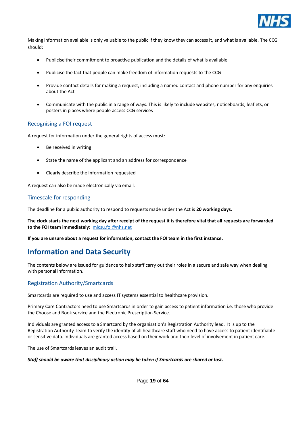

Making information available is only valuable to the public if they know they can access it, and what is available. The CCG should:

- Publicise their commitment to proactive publication and the details of what is available
- Publicise the fact that people can make freedom of information requests to the CCG
- Provide contact details for making a request, including a named contact and phone number for any enquiries about the Act
- Communicate with the public in a range of ways. This is likely to include websites, noticeboards, leaflets, or posters in places where people access CCG services

#### <span id="page-18-0"></span>Recognising a FOI request

A request for information under the general rights of access must:

- Be received in writing
- State the name of the applicant and an address for correspondence
- Clearly describe the information requested

A request can also be made electronically via email.

#### <span id="page-18-1"></span>Timescale for responding

The deadline for a public authority to respond to requests made under the Act is **20 working days.**

**The clock starts the next working day after receipt of the request it is therefore vital that all requests are forwarded to the FOI team immediately:** [mlcsu.foi@nhs.net](mailto:mlcsu.foi@nhs.net)

**If you are unsure about a request for information, contact the FOI team in the first instance.** 

# <span id="page-18-2"></span>**Information and Data Security**

The contents below are issued for guidance to help staff carry out their roles in a secure and safe way when dealing with personal information.

#### <span id="page-18-3"></span>Registration Authority/Smartcards

Smartcards are required to use and access IT systems essential to healthcare provision.

Primary Care Contractors need to use Smartcards in order to gain access to patient information i.e. those who provide the Choose and Book service and the Electronic Prescription Service.

Individuals are granted access to a Smartcard by the organisation's Registration Authority lead. It is up to the Registration Authority Team to verify the identity of all healthcare staff who need to have access to patient identifiable or sensitive data. Individuals are granted access based on their work and their level of involvement in patient care.

The use of Smartcards leaves an audit trail.

#### *Staff should be aware that disciplinary action may be taken if Smartcards are shared or lost.*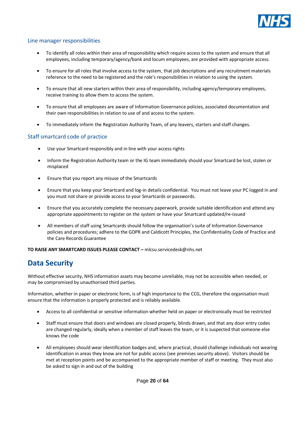

#### <span id="page-19-0"></span>Line manager responsibilities

- To identify all roles within their area of responsibility which require access to the system and ensure that all employees, including temporary/agency/bank and locum employees, are provided with appropriate access.
- To ensure for all roles that involve access to the system, that job descriptions and any recruitment materials reference to the need to be registered and the role's responsibilities in relation to using the system.
- To ensure that all new starters within their area of responsibility, including agency/temporary employees, receive training to allow them to access the system.
- To ensure that all employees are aware of Information Governance policies, associated documentation and their own responsibilities in relation to use of and access to the system.
- To immediately inform the Registration Authority Team, of any leavers, starters and staff changes.

#### <span id="page-19-1"></span>Staff smartcard code of practice

- Use your Smartcard responsibly and in line with your access rights
- Inform the Registration Authority team or the IG team immediately should your Smartcard be lost, stolen or misplaced
- Ensure that you report any misuse of the Smartcards
- Ensure that you keep your Smartcard and log-in details confidential. You must not leave your PC logged in and you must not share or provide access to your Smartcards or passwords.
- Ensure that you accurately complete the necessary paperwork, provide suitable identification and attend any appropriate appointments to register on the system or have your Smartcard updated/re-issued
- All members of staff using Smartcards should follow the organisation's suite of Information Governance policies and procedures; adhere to the GDPR and Caldicott Principles, the Confidentiality Code of Practice and the Care Records Guarantee

**TO RAISE ANY SMARTCARD ISSUES PLEASE CONTACT –** mlcsu.servicedesk@nhs.net

# <span id="page-19-2"></span>**Data Security**

Without effective security, NHS information assets may become unreliable, may not be accessible when needed, or may be compromised by unauthorised third parties.

Information, whether in paper or electronic form, is of high importance to the CCG, therefore the organisation must ensure that the information is properly protected and is reliably available.

- Access to all confidential or sensitive information whether held on paper or electronically must be restricted
- Staff must ensure that doors and windows are closed properly, blinds drawn, and that any door entry codes are changed regularly, ideally when a member of staff leaves the team, or it is suspected that someone else knows the code
- All employees should wear identification badges and, where practical, should challenge individuals not wearing identification in areas they know are not for public access (see premises security above). Visitors should be met at reception points and be accompanied to the appropriate member of staff or meeting. They must also be asked to sign in and out of the building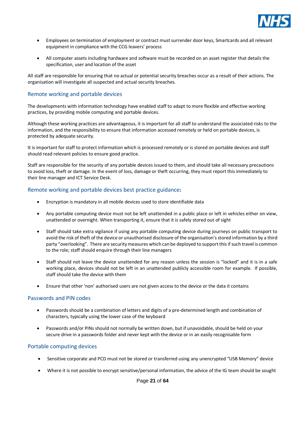

- Employees on termination of employment or contract must surrender door keys, Smartcards and all relevant equipment in compliance with the CCG leavers' process
- All computer assets including hardware and software must be recorded on an asset register that details the specification, user and location of the asset

All staff are responsible for ensuring that no actual or potential security breaches occur as a result of their actions. The organisation will investigate all suspected and actual security breaches.

#### <span id="page-20-0"></span>Remote working and portable devices

The developments with information technology have enabled staff to adapt to more flexible and effective working practices, by providing mobile computing and portable devices.

Although these working practices are advantageous, it is important for all staff to understand the associated risks to the information, and the responsibility to ensure that information accessed remotely or held on portable devices, is protected by adequate security.

It is important for staff to protect information which is processed remotely or is stored on portable devices and staff should read relevant policies to ensure good practice.

Staff are responsible for the security of any portable devices issued to them, and should take all necessary precautions to avoid loss, theft or damage. In the event of loss, damage or theft occurring, they must report this immediately to their line manager and ICT Service Desk.

#### <span id="page-20-1"></span>Remote working and portable devices best practice guidance**:**

- Encryption is mandatory in all mobile devices used to store identifiable data
- Any portable computing device must not be left unattended in a public place or left in vehicles either on view, unattended or overnight. When transporting it, ensure that it is safely stored out of sight
- Staff should take extra vigilance if using any portable computing device during journeys on public transport to avoid the risk of theft of the device or unauthorised disclosure of the organisation's stored information by a third party "overlooking". There are security measures which can be deployed to support this if such travel is common to the role; staff should enquire through their line managers
- Staff should not leave the device unattended for any reason unless the session is "locked" and it is in a safe working place, devices should not be left in an unattended publicly accessible room for example. If possible, staff should take the device with them
- Ensure that other 'non' authorised users are not given access to the device or the data it contains

#### <span id="page-20-2"></span>Passwords and PIN codes

- Passwords should be a combination of letters and digits of a pre-determined length and combination of characters, typically using the lower case of the keyboard
- Passwords and/or PINs should not normally be written down, but if unavoidable, should be held on your secure drive in a passwords folder and never kept with the device or in an easily recognisable form

#### <span id="page-20-3"></span>Portable computing devices

- Sensitive corporate and PCD must not be stored or transferred using any unencrypted "USB Memory" device
- Where it is not possible to encrypt sensitive/personal information, the advice of the IG team should be sought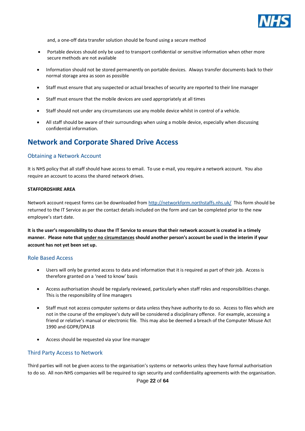

and, a one-off data transfer solution should be found using a secure method

- Portable devices should only be used to transport confidential or sensitive information when other more secure methods are not available
- Information should not be stored permanently on portable devices. Always transfer documents back to their normal storage area as soon as possible
- Staff must ensure that any suspected or actual breaches of security are reported to their line manager
- Staff must ensure that the mobile devices are used appropriately at all times
- Staff should not under any circumstances use any mobile device whilst in control of a vehicle.
- All staff should be aware of their surroundings when using a mobile device, especially when discussing confidential information.

# <span id="page-21-0"></span>**Network and Corporate Shared Drive Access**

#### <span id="page-21-1"></span>Obtaining a Network Account

It is NHS policy that all staff should have access to email. To use e-mail, you require a network account. You also require an account to access the shared network drives.

#### **STAFFORDSHIRE AREA**

Network account request forms can be downloaded fro[m http://networkform.northstaffs.nhs.uk/](http://networkform.northstaffs.nhs.uk/) This form should be returned to the IT Service as per the contact details included on the form and can be completed prior to the new employee's start date.

**It is the user's responsibility to chase the IT Service to ensure that their network account is created in a timely manner. Please note that under no circumstances should another person's account be used in the interim if your account has not yet been set up.**

#### <span id="page-21-2"></span>Role Based Access

- Users will only be granted access to data and information that it is required as part of their job. Access is therefore granted on a 'need to know' basis
- Access authorisation should be regularly reviewed, particularly when staff roles and responsibilities change. This is the responsibility of line managers
- Staff must not access computer systems or data unless they have authority to do so. Access to files which are not in the course of the employee's duty will be considered a disciplinary offence. For example, accessing a friend or relative's manual or electronic file. This may also be deemed a breach of the Computer Misuse Act 1990 and GDPR/DPA18
- Access should be requested via your line manager

#### <span id="page-21-3"></span>Third Party Access to Network

Third parties will not be given access to the organisation's systems or networks unless they have formal authorisation to do so. All non-NHS companies will be required to sign security and confidentiality agreements with the organisation.

Page **22** of **64**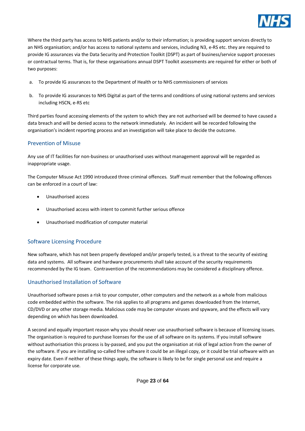

Where the third party has access to NHS patients and/or to their information; is providing support services directly to an NHS organisation; and/or has access to national systems and services, including N3, e-RS etc. they are required to provide IG assurances via the Data Security and Protection Toolkit (DSPT) as part of business/service support processes or contractual terms. That is, for these organisations annual DSPT Toolkit assessments are required for either or both of two purposes:

- a. To provide IG assurances to the Department of Health or to NHS commissioners of services
- b. To provide IG assurances to NHS Digital as part of the terms and conditions of using national systems and services including HSCN, e-RS etc

Third parties found accessing elements of the system to which they are not authorised will be deemed to have caused a data breach and will be denied access to the network immediately. An incident will be recorded following the organisation's incident reporting process and an investigation will take place to decide the outcome.

#### <span id="page-22-0"></span>Prevention of Misuse

Any use of IT facilities for non-business or unauthorised uses without management approval will be regarded as inappropriate usage.

The Computer Misuse Act 1990 introduced three criminal offences. Staff must remember that the following offences can be enforced in a court of law:

- Unauthorised access
- Unauthorised access with intent to commit further serious offence
- Unauthorised modification of computer material

#### <span id="page-22-1"></span>Software Licensing Procedure

New software, which has not been properly developed and/or properly tested, is a threat to the security of existing data and systems. All software and hardware procurements shall take account of the security requirements recommended by the IG team. Contravention of the recommendations may be considered a disciplinary offence.

#### <span id="page-22-2"></span>Unauthorised Installation of Software

Unauthorised software poses a risk to your computer, other computers and the network as a whole from malicious code embedded within the software. The risk applies to all programs and games downloaded from the Internet, CD/DVD or any other storage media. Malicious code may be computer viruses and spyware, and the effects will vary depending on which has been downloaded.

A second and equally important reason why you should never use unauthorised software is because of licensing issues. The organisation is required to purchase licenses for the use of all software on its systems. If you install software without authorisation this process is by-passed, and you put the organisation at risk of legal action from the owner of the software. If you are installing so-called free software it could be an illegal copy, or it could be trial software with an expiry date. Even if neither of these things apply, the software is likely to be for single personal use and require a license for corporate use.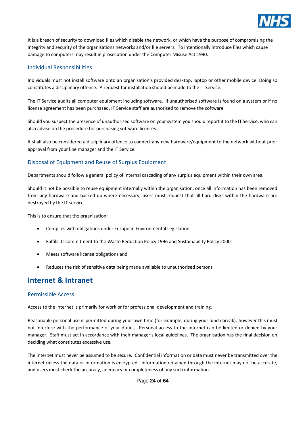

It is a breach of security to download files which disable the network, or which have the purpose of compromising the integrity and security of the organisations networks and/or file servers. To intentionally introduce files which cause damage to computers may result in prosecution under the Computer Misuse Act 1990.

#### <span id="page-23-0"></span>Individual Responsibilities

Individuals must not install software onto an organisation's provided desktop, laptop or other mobile device. Doing so constitutes a disciplinary offence. A request for installation should be made to the IT Service.

The IT Service audits all computer equipment including software. If unauthorised software is found on a system or if no license agreement has been purchased, IT Service staff are authorised to remove the software.

Should you suspect the presence of unauthorised software on your system you should report it to the IT Service, who can also advise on the procedure for purchasing software licenses.

It shall also be considered a disciplinary offence to connect any new hardware/equipment to the network without prior approval from your line manager and the IT Service.

#### <span id="page-23-1"></span>Disposal of Equipment and Reuse of Surplus Equipment

Departments should follow a general policy of internal cascading of any surplus equipment within their own area.

Should it not be possible to reuse equipment internally within the organisation, once all information has been removed from any hardware and backed up where necessary, users must request that all hard disks within the hardware are destroyed by the IT service.

This is to ensure that the organisation:

- Complies with obligations under European Environmental Legislation
- Fulfils its commitment to the Waste Reduction Policy 1996 and Sustainability Policy 2000
- Meets software license obligations and
- Reduces the risk of sensitive data being made available to unauthorised persons

# <span id="page-23-2"></span>**Internet & Intranet**

#### <span id="page-23-3"></span>Permissible Access

Access to the internet is primarily for work or for professional development and training.

Reasonable personal use is permitted during your own time (for example, during your lunch break), however this must not interfere with the performance of your duties. Personal access to the internet can be limited or denied by your manager. Staff must act in accordance with their manager's local guidelines. The organisation has the final decision on deciding what constitutes excessive use.

The internet must never be assumed to be secure. Confidential information or data must never be transmitted over the internet unless the data or information is encrypted. Information obtained through the internet may not be accurate, and users must check the accuracy, adequacy or completeness of any such information.

Page **24** of **64**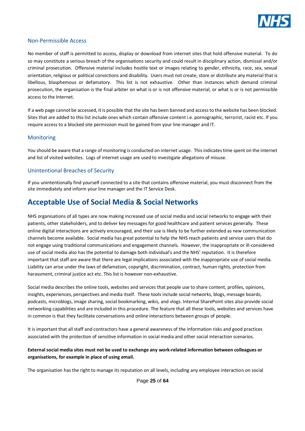

#### <span id="page-24-0"></span>Non-Permissible Access

No member of staff is permitted to access, display or download from internet sites that hold offensive material. To do so may constitute a serious breach of the organisations security and could result in disciplinary action, dismissal and/or criminal prosecution. Offensive material includes hostile text or images relating to gender, ethnicity, race, sex, sexual orientation, religious or political convictions and disability. Users must not create, store or distribute any material that is libellous, blasphemous or defamatory. This list is not exhaustive. Other than instances which demand criminal prosecution, the organisation is the final arbiter on what is or is not offensive material, or what is or is not permissible access to the Internet.

If a web page cannot be accessed, it is possible that the site has been banned and access to the website has been blocked. Sites that are added to this list include ones which contain offensive content i.e. pornographic, terrorist, racist etc. If you require access to a blocked site permission must be gained from your line manager and IT.

#### <span id="page-24-1"></span>**Monitoring**

You should be aware that a range of monitoring is conducted on internet usage. This indicates time spent on the internet and list of visited websites. Logs of internet usage are used to investigate allegations of misuse.

#### <span id="page-24-2"></span>Unintentional Breaches of Security

If you unintentionally find yourself connected to a site that contains offensive material, you must disconnect from the site immediately and inform your line manager and the IT Service Desk.

### <span id="page-24-3"></span>**Acceptable Use of Social Media & Social Networks**

NHS organisations of all types are now making increased use of social media and social networks to engage with their patients, other stakeholders, and to deliver key messages for good healthcare and patient services generally. These online digital interactions are actively encouraged, and their use is likely to be further extended as new communication channels become available. Social media has great potential to help the NHS reach patients and service users that do not engage using traditional communications and engagement channels. However, the inappropriate or ill-considered use of social media also has the potential to damage both individual's and the NHS' reputation. It is therefore important that staff are aware that there are legal implications associated with the inappropriate use of social media. Liability can arise under the laws of defamation, copyright, discrimination, contract, human rights, protection from harassment, criminal justice act etc. This list is however non-exhaustive.

Social media describes the online tools, websites and services that people use to share content, profiles, opinions, insights, experiences, perspectives and media itself. These tools include social networks, blogs, message boards, podcasts, microblogs, image sharing, social bookmarking, wikis, and vlogs. Internal SharePoint sites also provide social networking capabilities and are included in this procedure. The feature that all these tools, websites and services have in common is that they facilitate conversations and online interactions between groups of people.

It is important that all staff and contractors have a general awareness of the information risks and good practices associated with the protection of sensitive information in social media and other social interaction scenarios.

#### **External social media sites must not be used to exchange any work-related information between colleagues or organisations, for example in place of using email.**

The organisation has the right to manage its reputation on all levels, including any employee interaction on social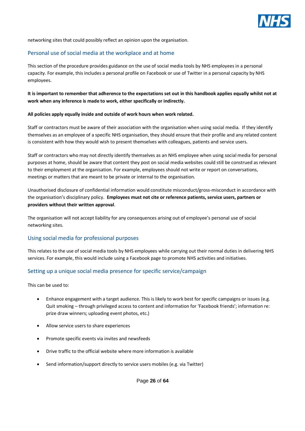

networking sites that could possibly reflect an opinion upon the organisation.

#### <span id="page-25-0"></span>Personal use of social media at the workplace and at home

This section of the procedure provides guidance on the use of social media tools by NHS employees in a personal capacity. For example, this includes a personal profile on Facebook or use of Twitter in a personal capacity by NHS employees.

#### **It is important to remember that adherence to the expectations set out in this handbook applies equally whilst not at work when any inference is made to work, either specifically or indirectly.**

#### **All policies apply equally inside and outside of work hours when work related.**

Staff or contractors must be aware of their association with the organisation when using social media. If they identify themselves as an employee of a specific NHS organisation, they should ensure that their profile and any related content is consistent with how they would wish to present themselves with colleagues, patients and service users.

Staff or contractors who may not directly identify themselves as an NHS employee when using social media for personal purposes at home, should be aware that content they post on social media websites could still be construed as relevant to their employment at the organisation. For example, employees should not write or report on conversations, meetings or matters that are meant to be private or internal to the organisation.

Unauthorised disclosure of confidential information would constitute misconduct/gross-misconduct in accordance with the organisation's disciplinary policy. **Employees must not cite or reference patients, service users, partners or providers without their written approval**.

The organisation will not accept liability for any consequences arising out of employee's personal use of social networking sites.

#### <span id="page-25-1"></span>Using social media for professional purposes

This relates to the use of social media tools by NHS employees while carrying out their normal duties in delivering NHS services. For example, this would include using a Facebook page to promote NHS activities and initiatives.

#### <span id="page-25-2"></span>Setting up a unique social media presence for specific service/campaign

This can be used to:

- Enhance engagement with a target audience. This is likely to work best for specific campaigns or issues (e.g. Quit smoking – through privileged access to content and information for 'Facebook friends'; information re: prize draw winners; uploading event photos, etc.)
- Allow service users to share experiences
- Promote specific events via invites and newsfeeds
- Drive traffic to the official website where more information is available
- Send information/support directly to service users mobiles (e.g. via Twitter)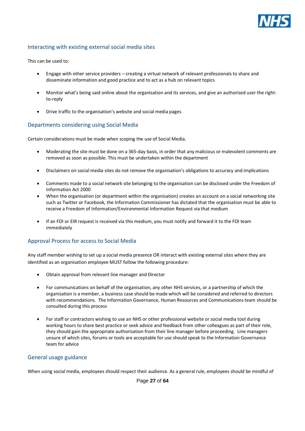

#### <span id="page-26-0"></span>Interacting with existing external social media sites

This can be used to:

- Engage with other service providers creating a virtual network of relevant professionals to share and disseminate information and good practice and to act as a hub on relevant topics
- Monitor what's being said online about the organisation and its services, and give an authorised user the rightto-reply
- Drive traffic to the organisation's website and social media pages

#### <span id="page-26-1"></span>Departments considering using Social Media

Certain considerations must be made when scoping the use of Social Media.

- Moderating the site must be done on a 365-day basis, in order that any malicious or malevolent comments are removed as soon as possible. This must be undertaken within the department
- Disclaimers on social media sites do not remove the organisation's obligations to accuracy and implications
- Comments made to a social network site belonging to the organisation can be disclosed under the Freedom of Information Act 2000
- When the organisation (or department within the organisation) creates an account on a social networking site such as Twitter or Facebook, the Information Commissioner has dictated that the organisation must be able to receive a Freedom of Information/Environmental Information Request via that medium
- If an FOI or EIR request is received via this medium, you must notify and forward it to the FOI team immediately

#### <span id="page-26-2"></span>Approval Process for access to Social Media

Any staff member wishing to set up a social media presence OR interact with existing external sites where they are identified as an organisation employee MUST follow the following procedure:

- Obtain approval from relevant line manager and Director
- For communications on behalf of the organisation, any other NHS services, or a partnership of which the organisation is a member, a business case should be made which will be considered and referred to directors with recommendations. The Information Governance, Human Resources and Communications team should be consulted during this process
- For staff or contractors wishing to use an NHS or other professional website or social media tool during working hours to share best practice or seek advice and feedback from other colleagues as part of their role, they should gain the appropriate authorisation from their line manager before proceeding. Line managers unsure of which sites, forums or tools are acceptable for use should speak to the Information Governance team for advice

#### <span id="page-26-3"></span>General usage guidance

When using social media, employees should respect their audience. As a general rule, employees should be mindful of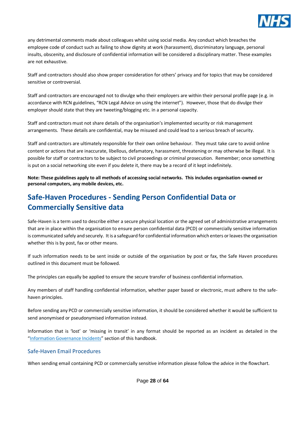

any detrimental comments made about colleagues whilst using social media. Any conduct which breaches the employee code of conduct such as failing to show dignity at work (harassment), discriminatory language, personal insults, obscenity, and disclosure of confidential information will be considered a disciplinary matter. These examples are not exhaustive.

Staff and contractors should also show proper consideration for others' privacy and for topics that may be considered sensitive or controversial.

Staff and contractors are encouraged not to divulge who their employers are within their personal profile page (e.g. in accordance with RCN guidelines, "RCN Legal Advice on using the internet"). However, those that do divulge their employer should state that they are tweeting/blogging etc. in a personal capacity.

Staff and contractors must not share details of the organisation's implemented security or risk management arrangements. These details are confidential, may be misused and could lead to a serious breach of security.

Staff and contractors are ultimately responsible for their own online behaviour. They must take care to avoid online content or actions that are inaccurate, libellous, defamatory, harassment, threatening or may otherwise be illegal. It is possible for staff or contractors to be subject to civil proceedings or criminal prosecution. Remember; once something is put on a social networking site even if you delete it, there may be a record of it kept indefinitely.

**Note: These guidelines apply to all methods of accessing social networks. This includes organisation-owned or personal computers, any mobile devices, etc.**

# <span id="page-27-0"></span>**Safe-Haven Procedures - Sending Person Confidential Data or Commercially Sensitive data**

Safe-Haven is a term used to describe either a secure physical location or the agreed set of administrative arrangements that are in place within the organisation to ensure person confidential data (PCD) or commercially sensitive information is communicated safely and securely. It is a safeguard for confidential information which enters or leaves the organisation whether this is by post, fax or other means.

If such information needs to be sent inside or outside of the organisation by post or fax, the Safe Haven procedures outlined in this document must be followed.

The principles can equally be applied to ensure the secure transfer of business confidential information.

Any members of staff handling confidential information, whether paper based or electronic, must adhere to the safehaven principles.

Before sending any PCD or commercially sensitive information, it should be considered whether it would be sufficient to send anonymised or pseudonymised information instead.

Information that is 'lost' or 'missing in transit' in any format should be reported as an incident as detailed in the "Information Governance Incidents" section of this handbook.

#### <span id="page-27-1"></span>Safe-Haven Email Procedures

When sending email containing PCD or commercially sensitive information please follow the advice in the flowchart.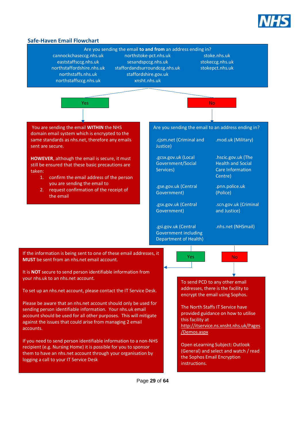

<span id="page-28-0"></span>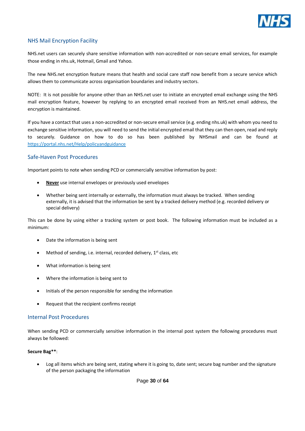

#### <span id="page-29-0"></span>NHS Mail Encryption Facility

NHS.net users can securely share sensitive information with non-accredited or non-secure email services, for example those ending in nhs.uk, Hotmail, Gmail and Yahoo.

The new NHS.net encryption feature means that health and social care staff now benefit from a secure service which allows them to communicate across organisation boundaries and industry sectors.

NOTE: It is not possible for anyone other than an NHS.net user to initiate an encrypted email exchange using the NHS mail encryption feature, however by replying to an encrypted email received from an NHS.net email address, the encryption is maintained.

If you have a contact that uses a non-accredited or non-secure email service (e.g. ending nhs.uk) with whom you need to exchange sensitive information, you will need to send the initial encrypted email that they can then open, read and reply to securely. Guidance on how to do so has been published by NHSmail and can be found at https://portal.nhs.net/Help/policyandguidance

#### <span id="page-29-1"></span>Safe-Haven Post Procedures

Important points to note when sending PCD or commercially sensitive information by post:

- **Never** use internal envelopes or previously used envelopes
- Whether being sent internally or externally, the information must always be tracked. When sending externally, it is advised that the information be sent by a tracked delivery method (e.g. recorded delivery or special delivery)

This can be done by using either a tracking system or post book. The following information must be included as a minimum:

- Date the information is being sent
- Method of sending, i.e. internal, recorded delivery,  $1<sup>st</sup>$  class, etc
- What information is being sent
- Where the information is being sent to
- Initials of the person responsible for sending the information
- Request that the recipient confirms receipt

#### <span id="page-29-2"></span>Internal Post Procedures

When sending PCD or commercially sensitive information in the internal post system the following procedures must always be followed:

#### **Secure Bag\*\***:

Log all items which are being sent, stating where it is going to, date sent; secure bag number and the signature of the person packaging the information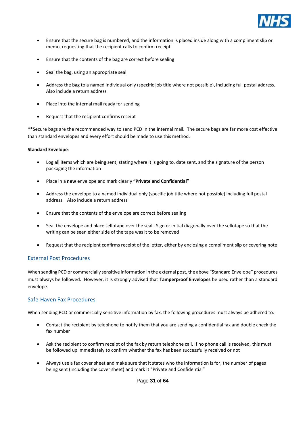

- Ensure that the secure bag is numbered, and the information is placed inside along with a compliment slip or memo, requesting that the recipient calls to confirm receipt
- Ensure that the contents of the bag are correct before sealing
- Seal the bag, using an appropriate seal
- Address the bag to a named individual only (specific job title where not possible), including full postal address. Also include a return address
- Place into the internal mail ready for sending
- Request that the recipient confirms receipt

\*\*Secure bags are the recommended way to send PCD in the internal mail. The secure bags are far more cost effective than standard envelopes and every effort should be made to use this method.

#### **Standard Envelope**:

- Log all items which are being sent, stating where it is going to, date sent, and the signature of the person packaging the information
- Place in a **new** envelope and mark clearly **"Private and Confidential"**
- Address the envelope to a named individual only (specific job title where not possible) including full postal address. Also include a return address
- Ensure that the contents of the envelope are correct before sealing
- Seal the envelope and place sellotape over the seal. Sign or initial diagonally over the sellotape so that the writing can be seen either side of the tape was it to be removed
- Request that the recipient confirms receipt of the letter, either by enclosing a compliment slip or covering note

#### <span id="page-30-0"></span>External Post Procedures

When sending PCD or commercially sensitive information in the external post, the above "Standard Envelope" procedures must always be followed. However, it is strongly advised that **Tamperproof Envelopes** be used rather than a standard envelope.

#### <span id="page-30-1"></span>Safe-Haven Fax Procedures

When sending PCD or commercially sensitive information by fax, the following procedures must always be adhered to:

- Contact the recipient by telephone to notify them that you are sending a confidential fax and double check the fax number
- Ask the recipient to confirm receipt of the fax by return telephone call. If no phone call is received, this must be followed up immediately to confirm whether the fax has been successfully received or not
- Always use a fax cover sheet and make sure that it states who the information is for, the number of pages being sent (including the cover sheet) and mark it "Private and Confidential"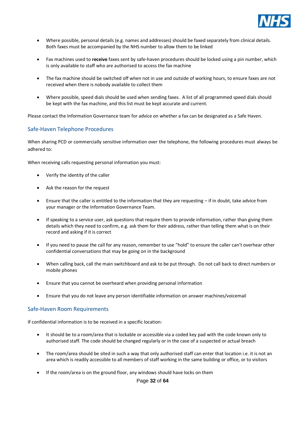

- Where possible, personal details (e.g. names and addresses) should be faxed separately from clinical details. Both faxes must be accompanied by the NHS number to allow them to be linked
- Fax machines used to **receive** faxes sent by safe-haven procedures should be locked using a pin number, which is only available to staff who are authorised to access the fax machine
- The fax machine should be switched off when not in use and outside of working hours, to ensure faxes are not received when there is nobody available to collect them
- Where possible, speed dials should be used when sending faxes. A list of all programmed speed dials should be kept with the fax machine, and this list must be kept accurate and current.

Please contact the Information Governance team for advice on whether a fax can be designated as a Safe Haven.

#### <span id="page-31-0"></span>Safe-Haven Telephone Procedures

When sharing PCD or commercially sensitive information over the telephone, the following procedures must always be adhered to:

When receiving calls requesting personal information you must:

- Verify the identity of the caller
- Ask the reason for the request
- Ensure that the caller is entitled to the information that they are requesting if in doubt, take advice from your manager or the Information Governance Team.
- If speaking to a service user, ask questions that require them to provide information, rather than giving them details which they need to confirm, e.g. ask them for their address, rather than telling them what is on their record and asking if it is correct
- If you need to pause the call for any reason, remember to use "hold" to ensure the caller can't overhear other confidential conversations that may be going on in the background
- When calling back, call the main switchboard and ask to be put through. Do not call back to direct numbers or mobile phones
- Ensure that you cannot be overheard when providing personal information
- Ensure that you do not leave any person identifiable information on answer machines/voicemail

#### <span id="page-31-1"></span>Safe-Haven Room Requirements

If confidential information is to be received in a specific location:

- It should be to a room/area that is lockable or accessible via a coded key pad with the code known only to authorised staff. The code should be changed regularly or in the case of a suspected or actual breach
- The room/area should be sited in such a way that only authorised staff can enter that location i.e. it is not an area which is readily accessible to all members of staff working in the same building or office, or to visitors
- If the room/area is on the ground floor, any windows should have locks on them

Page **32** of **64**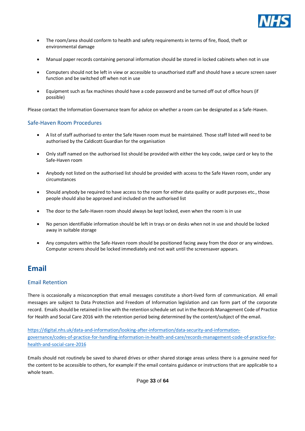

- The room/area should conform to health and safety requirements in terms of fire, flood, theft or environmental damage
- Manual paper records containing personal information should be stored in locked cabinets when not in use
- Computers should not be left in view or accessible to unauthorised staff and should have a secure screen saver function and be switched off when not in use
- Equipment such as fax machines should have a code password and be turned off out of office hours (if possible)

Please contact the Information Governance team for advice on whether a room can be designated as a Safe-Haven.

#### <span id="page-32-0"></span>Safe-Haven Room Procedures

- A list of staff authorised to enter the Safe Haven room must be maintained. Those staff listed will need to be authorised by the Caldicott Guardian for the organisation
- Only staff named on the authorised list should be provided with either the key code, swipe card or key to the Safe-Haven room
- Anybody not listed on the authorised list should be provided with access to the Safe Haven room, under any circumstances
- Should anybody be required to have access to the room for either data quality or audit purposes etc., those people should also be approved and included on the authorised list
- The door to the Safe-Haven room should always be kept locked, even when the room is in use
- No person identifiable information should be left in trays or on desks when not in use and should be locked away in suitable storage
- Any computers within the Safe-Haven room should be positioned facing away from the door or any windows. Computer screens should be locked immediately and not wait until the screensaver appears.

# <span id="page-32-1"></span>**Email**

#### <span id="page-32-2"></span>Email Retention

There is occasionally a misconception that email messages constitute a short-lived form of communication. All email messages are subject to Data Protection and Freedom of Information legislation and can form part of the corporate record. Emails should be retained in line with the retention schedule set out in the Records Management Code of Practice for Health and Social Care 2016 with the retention period being determined by the content/subject of the email.

[https://digital.nhs.uk/data-and-information/looking-after-information/data-security-and-information](https://digital.nhs.uk/data-and-information/looking-after-information/data-security-and-information-governance/codes-of-practice-for-handling-information-in-health-and-care/records-management-code-of-practice-for-health-and-social-care-2016)[governance/codes-of-practice-for-handling-information-in-health-and-care/records-management-code-of-practice-for](https://digital.nhs.uk/data-and-information/looking-after-information/data-security-and-information-governance/codes-of-practice-for-handling-information-in-health-and-care/records-management-code-of-practice-for-health-and-social-care-2016)[health-and-social-care-2016](https://digital.nhs.uk/data-and-information/looking-after-information/data-security-and-information-governance/codes-of-practice-for-handling-information-in-health-and-care/records-management-code-of-practice-for-health-and-social-care-2016)

Emails should not routinely be saved to shared drives or other shared storage areas unless there is a genuine need for the content to be accessible to others, for example if the email contains guidance or instructions that are applicable to a whole team.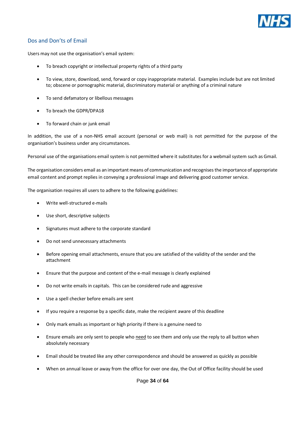

#### <span id="page-33-0"></span>Dos and Don'ts of Email

Users may not use the organisation's email system:

- To breach copyright or intellectual property rights of a third party
- To view, store, download, send, forward or copy inappropriate material. Examples include but are not limited to; obscene or pornographic material, discriminatory material or anything of a criminal nature
- To send defamatory or libellous messages
- To breach the GDPR/DPA18
- To forward chain or junk email

In addition, the use of a non-NHS email account (personal or web mail) is not permitted for the purpose of the organisation's business under any circumstances.

Personal use of the organisations email system is not permitted where it substitutes for a webmail system such as Gmail.

The organisation considers email as an important means of communication and recognises the importance of appropriate email content and prompt replies in conveying a professional image and delivering good customer service.

The organisation requires all users to adhere to the following guidelines:

- Write well-structured e-mails
- Use short, descriptive subjects
- Signatures must adhere to the corporate standard
- Do not send unnecessary attachments
- Before opening email attachments, ensure that you are satisfied of the validity of the sender and the attachment
- Ensure that the purpose and content of the e-mail message is clearly explained
- Do not write emails in capitals. This can be considered rude and aggressive
- Use a spell checker before emails are sent
- If you require a response by a specific date, make the recipient aware of this deadline
- Only mark emails as important or high priority if there is a genuine need to
- Ensure emails are only sent to people who need to see them and only use the reply to all button when absolutely necessary
- Email should be treated like any other correspondence and should be answered as quickly as possible
- When on annual leave or away from the office for over one day, the Out of Office facility should be used

Page **34** of **64**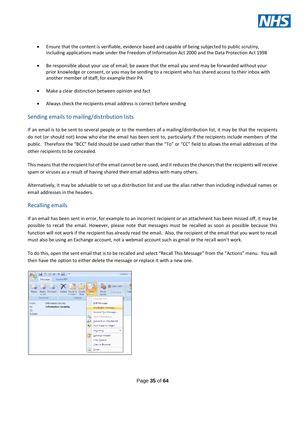

- Ensure that the content is verifiable, evidence based and capable of being subjected to public scrutiny, including applications made under the Freedom of Information Act 2000 and the Data Protection Act 1998
- Be responsible about your use of email; be aware that the email you send may be forwarded without your prior knowledge or consent, or you may be sending to a recipient who has shared access to their inbox with another member of staff, for example their PA
- Make a clear distinction between opinion and fact
- Always check the recipients email address is correct before sending

#### <span id="page-34-0"></span>Sending emails to mailing/distribution lists

If an email is to be sent to several people or to the members of a mailing/distribution list, it may be that the recipients do not (or should not) know who else the email has been sent to, particularly if the recipients include members of the public. Therefore the "BCC" field should be used rather than the "To" or "CC" field to allows the email addresses of the other recipients to be concealed.

This means that the recipient list of the email cannot be re-used, and it reduces the chances that the recipients will receive spam or viruses as a result of having shared their email address with many others.

Alternatively, it may be advisable to set up a distribution list and use the alias rather than including individual names or email addresses in the headers.

#### <span id="page-34-1"></span>Recalling emails

If an email has been sent in error, for example to an incorrect recipient or an attachment has been missed off, it may be possible to recall the email. However, please note that messages must be recalled as soon as possible because this function will not work if the recipient has already read the email. Also, the recipient of the email that you want to recall must also be using an Exchange account, not a webmail account such as gmail or the recall won't work.

To do this, open the sent email that is to be recalled and select "Recall This Message" from the "Actions" menu. You will then have the option to either delete the message or replace it with a new one.

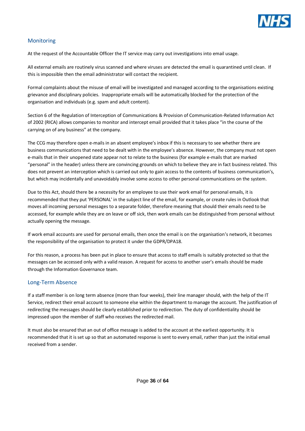

#### <span id="page-35-0"></span>**Monitoring**

At the request of the Accountable Officer the IT service may carry out investigations into email usage.

All external emails are routinely virus scanned and where viruses are detected the email is quarantined until clean. If this is impossible then the email administrator will contact the recipient.

Formal complaints about the misuse of email will be investigated and managed according to the organisations existing grievance and disciplinary policies. Inappropriate emails will be automatically blocked for the protection of the organisation and individuals (e.g. spam and adult content).

Section 6 of the Regulation of Interception of Communications & Provision of Communication-Related Information Act of 2002 (RICA) allows companies to monitor and intercept email provided that it takes place "in the course of the carrying on of any business" at the company.

The CCG may therefore open e-mails in an absent employee's inbox if this is necessary to see whether there are business communications that need to be dealt with in the employee's absence. However, the company must not open e-mails that in their unopened state appear not to relate to the business (for example e-mails that are marked "personal" in the header) unless there are convincing grounds on which to believe they are in fact business related. This does not prevent an interception which is carried out only to gain access to the contents of business communication's, but which may incidentally and unavoidably involve some access to other personal communications on the system.

Due to this Act, should there be a necessity for an employee to use their work email for personal emails, it is recommended that they put 'PERSONAL' in the subject line of the email, for example, or create rules in Outlook that moves all incoming personal messages to a separate folder, therefore meaning that should their emails need to be accessed, for example while they are on leave or off sick, then work emails can be distinguished from personal without actually opening the message.

If work email accounts are used for personal emails, then once the email is on the organisation's network, it becomes the responsibility of the organisation to protect it under the GDPR/DPA18.

For this reason, a process has been put in place to ensure that access to staff emails is suitably protected so that the messages can be accessed only with a valid reason. A request for access to another user's emails should be made through the Information Governance team.

#### <span id="page-35-1"></span>Long-Term Absence

If a staff member is on long term absence (more than four weeks), their line manager should, with the help of the IT Service, redirect their email account to someone else within the department to manage the account. The justification of redirecting the messages should be clearly established prior to redirection. The duty of confidentiality should be impressed upon the member of staff who receives the redirected mail.

It must also be ensured that an out of office message is added to the account at the earliest opportunity. It is recommended that it is set up so that an automated response is sent to every email, rather than just the initial email received from a sender.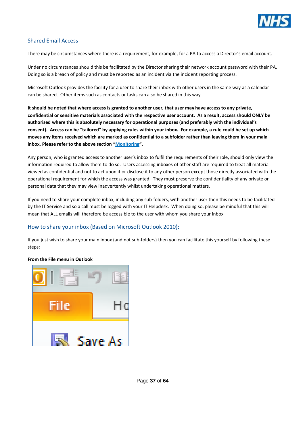

#### <span id="page-36-0"></span>Shared Email Access

There may be circumstances where there is a requirement, for example, for a PA to access a Director's email account.

Under no circumstances should this be facilitated by the Director sharing their network account password with their PA. Doing so is a breach of policy and must be reported as an incident via the incident reporting process.

Microsoft Outlook provides the facility for a user to share their inbox with other users in the same way as a calendar can be shared. Other items such as contacts or tasks can also be shared in this way.

**It should be noted that where access is granted to another user, that user may have access to any private, confidential or sensitive materials associated with the respective user account. As a result, access should ONLY be authorised where this is absolutely necessary for operational purposes (and preferably with the individual's consent). Access can be "tailored" by applying rules within your inbox. For example, a rule could be set up which moves any items received which are marked as confidential to a subfolder rather than leaving them in your main inbox. Please refer to the above section "Monitoring".**

Any person, who is granted access to another user's inbox to fulfil the requirements of their role, should only view the information required to allow them to do so. Users accessing inboxes of other staff are required to treat all material viewed as confidential and not to act upon it or disclose it to any other person except those directly associated with the operational requirement for which the access was granted. They must preserve the confidentiality of any private or personal data that they may view inadvertently whilst undertaking operational matters.

If you need to share your complete inbox, including any sub-folders, with another user then this needs to be facilitated by the IT Service and so a call must be logged with your IT Helpdesk. When doing so, please be mindful that this will mean that ALL emails will therefore be accessible to the user with whom you share your inbox.

#### <span id="page-36-1"></span>How to share your inbox (Based on Microsoft Outlook 2010):

If you just wish to share your main inbox (and not sub-folders) then you can facilitate this yourself by following these steps:

# Save As

#### **From the File menu in Outlook**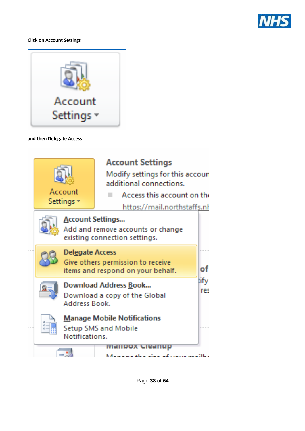

#### **Click on Account Settings**



#### **and then Delegate Access**

| <b>Account Settings</b><br>Modify settings for this accoun<br>additional connections.<br>Account<br>Access this account on th<br>Settings +<br>https://mail.northstaffs.nl |                                                                                                       |                                                                    |  |
|----------------------------------------------------------------------------------------------------------------------------------------------------------------------------|-------------------------------------------------------------------------------------------------------|--------------------------------------------------------------------|--|
|                                                                                                                                                                            | <b>Account Settings</b>                                                                               | Add and remove accounts or change<br>existing connection settings. |  |
|                                                                                                                                                                            | <b>Delegate Access</b><br>Give others permission to receive<br>m<br>items and respond on your behalf. |                                                                    |  |
| <b>Download Address Book</b><br>Download a copy of the Global<br>Address Book.                                                                                             |                                                                                                       | tify<br>res                                                        |  |
| <b>Manage Mobile Notifications</b><br>Setup SMS and Mobile<br>Notifications.                                                                                               |                                                                                                       |                                                                    |  |
|                                                                                                                                                                            |                                                                                                       |                                                                    |  |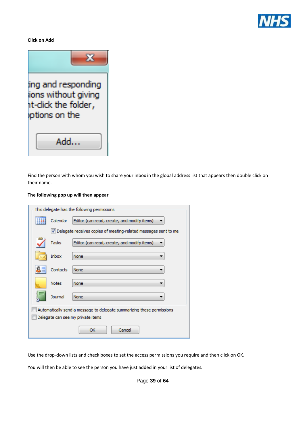

**Click on Add**



Find the person with whom you wish to share your inbox in the global address list that appears then double click on their name.

#### **The following pop up will then appear**

| This delegate has the following permissions                            |                                                         |                                                                   |  |  |
|------------------------------------------------------------------------|---------------------------------------------------------|-------------------------------------------------------------------|--|--|
|                                                                        | Calendar<br>Editor (can read, create, and modify items) |                                                                   |  |  |
|                                                                        |                                                         | V Delegate receives copies of meeting-related messages sent to me |  |  |
|                                                                        | Tasks                                                   | Editor (can read, create, and modify items)                       |  |  |
|                                                                        | Inbox                                                   | None                                                              |  |  |
|                                                                        | Contacts                                                | None                                                              |  |  |
|                                                                        | <b>Notes</b>                                            | None                                                              |  |  |
|                                                                        | Journal                                                 | None                                                              |  |  |
| Automatically send a message to delegate summarizing these permissions |                                                         |                                                                   |  |  |
| Delegate can see my private items                                      |                                                         |                                                                   |  |  |
| Cancel<br>ОК                                                           |                                                         |                                                                   |  |  |

Use the drop-down lists and check boxes to set the access permissions you require and then click on OK.

You will then be able to see the person you have just added in your list of delegates.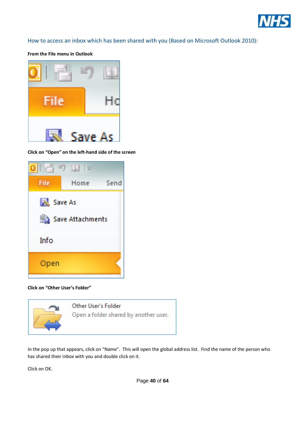

<span id="page-39-0"></span>How to access an inbox which has been shared with you (Based on Microsoft Outlook 2010):

**From the File menu in Outlook**



**Click on "Open" on the left-hand side of the screen**



**Click on "Other User's Folder"**



In the pop up that appears, click on "Name". This will open the global address list. Find the name of the person who has shared their inbox with you and double click on it.

Click on OK.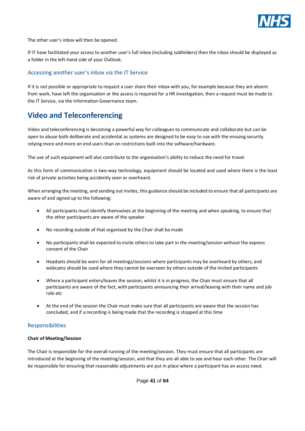

The other user's inbox will then be opened.

If IT have facilitated your access to another user's full inbox (including subfolders) then the inbox should be displayed as a folder in the left-hand side of your Outlook.

#### <span id="page-40-0"></span>Accessing another user's inbox via the IT Service

If it is not possible or appropriate to request a user share their inbox with you, for example because they are absent from work, have left the organisation or the access is required for a HR investigation, then a request must be made to the IT Service, via the Information Governance team.

# <span id="page-40-1"></span>**Video and Teleconferencing**

Video and teleconferencing is becoming a powerful way for colleagues to communicate and collaborate but can be open to abuse both deliberate and accidental as systems are designed to be easy to use with the ensuing security relying more and more on end users than on restrictions built into the software/hardware.

The use of such equipment will also contribute to the organisation's ability to reduce the need for travel.

As this form of communication is two-way technology, equipment should be located and used where there is the least risk of private activities being accidently seen or overheard.

When arranging the meeting, and sending out invites, this guidance should be included to ensure that all participants are aware of and signed up to the following:

- All participants must identify themselves at the beginning of the meeting and when speaking, to ensure that the other participants are aware of the speaker
- No recording outside of that organised by the Chair shall be made
- No participants shall be expected to invite others to take part in the meeting/session without the express consent of the Chair
- Headsets should be worn for all meetings/sessions where participants may be overheard by others, and webcams should be used where they cannot be overseen by others outside of the invited participants
- Where a participant enters/leaves the session, whilst it is in progress, the Chair must ensure that all participants are aware of the fact, with participants announcing their arrival/leaving with their name and job role etc
- At the end of the session the Chair must make sure that all participants are aware that the session has concluded, and if a recording is being made that the recording is stopped at this time

#### <span id="page-40-2"></span>Responsibilities

#### **Chair of Meeting/Session**

The Chair is responsible for the overall running of the meeting/session. They must ensure that all participants are introduced at the beginning of the meeting/session, and that they are all able to see and hear each other. The Chair will be responsible for ensuring that reasonable adjustments are put in place where a participant has an access need.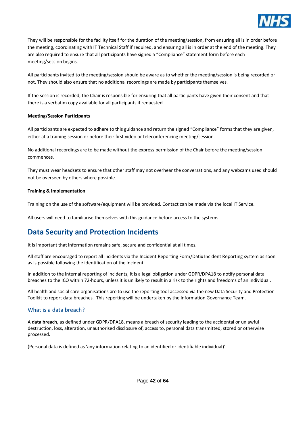

They will be responsible for the facility itself for the duration of the meeting/session, from ensuring all is in order before the meeting, coordinating with IT Technical Staff if required, and ensuring all is in order at the end of the meeting. They are also required to ensure that all participants have signed a "Compliance" statement form before each meeting/session begins.

All participants invited to the meeting/session should be aware as to whether the meeting/session is being recorded or not. They should also ensure that no additional recordings are made by participants themselves.

If the session is recorded, the Chair is responsible for ensuring that all participants have given their consent and that there is a verbatim copy available for all participants if requested.

#### **Meeting/Session Participants**

All participants are expected to adhere to this guidance and return the signed "Compliance" forms that they are given, either at a training session or before their first video or teleconferencing meeting/session.

No additional recordings are to be made without the express permission of the Chair before the meeting/session commences.

They must wear headsets to ensure that other staff may not overhear the conversations, and any webcams used should not be overseen by others where possible.

#### **Training & Implementation**

Training on the use of the software/equipment will be provided. Contact can be made via the local IT Service.

All users will need to familiarise themselves with this guidance before access to the systems.

# <span id="page-41-0"></span>**Data Security and Protection Incidents**

It is important that information remains safe, secure and confidential at all times.

All staff are encouraged to report all incidents via the Incident Reporting Form/Datix Incident Reporting system as soon as is possible following the identification of the incident.

In addition to the internal reporting of incidents, it is a legal obligation under GDPR/DPA18 to notify personal data breaches to the ICO within 72-hours, unless it is unlikely to result in a risk to the rights and freedoms of an individual.

All health and social care organisations are to use the reporting tool accessed via the new Data Security and Protection Toolkit to report data breaches. This reporting will be undertaken by the Information Governance Team.

#### <span id="page-41-1"></span>What is a data breach?

A **data breach,** as defined under GDPR/DPA18, means a breach of security leading to the accidental or unlawful destruction, loss, alteration, unauthorised disclosure of, access to, personal data transmitted, stored or otherwise processed.

(Personal data is defined as 'any information relating to an identified or identifiable individual)'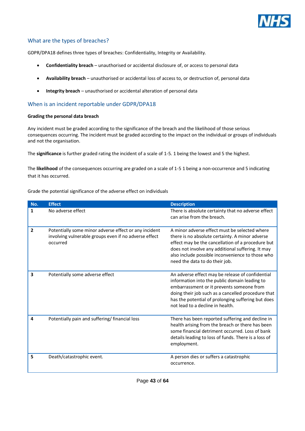

#### <span id="page-42-0"></span>What are the types of breaches?

GDPR/DPA18 defines three types of breaches: Confidentiality, Integrity or Availability.

- **Confidentiality breach** unauthorised or accidental disclosure of, or access to personal data
- **Availability breach** unauthorised or accidental loss of access to, or destruction of, personal data
- **Integrity breach** unauthorised or accidental alteration of personal data

#### <span id="page-42-1"></span>When is an incident reportable under GDPR/DPA18

#### **Grading the personal data breach**

Any incident must be graded according to the significance of the breach and the likelihood of those serious consequences occurring. The incident must be graded according to the impact on the individual or groups of individuals and not the organisation.

The **significance** is further graded rating the incident of a scale of 1-5. 1 being the lowest and 5 the highest.

The **likelihood** of the consequences occurring are graded on a scale of 1-5 1 being a non-occurrence and 5 indicating that it has occurred.

Grade the potential significance of the adverse effect on individuals

| No.            | <b>Effect</b>                                                                                                              | <b>Description</b>                                                                                                                                                                                                                                                                               |
|----------------|----------------------------------------------------------------------------------------------------------------------------|--------------------------------------------------------------------------------------------------------------------------------------------------------------------------------------------------------------------------------------------------------------------------------------------------|
| 1              | No adverse effect                                                                                                          | There is absolute certainty that no adverse effect<br>can arise from the breach.                                                                                                                                                                                                                 |
| $\overline{2}$ | Potentially some minor adverse effect or any incident<br>involving vulnerable groups even if no adverse effect<br>occurred | A minor adverse effect must be selected where<br>there is no absolute certainty. A minor adverse<br>effect may be the cancellation of a procedure but<br>does not involve any additional suffering. It may<br>also include possible inconvenience to those who<br>need the data to do their job. |
| 3              | Potentially some adverse effect                                                                                            | An adverse effect may be release of confidential<br>information into the public domain leading to<br>embarrassment or it prevents someone from<br>doing their job such as a cancelled procedure that<br>has the potential of prolonging suffering but does<br>not lead to a decline in health.   |
| 4              | Potentially pain and suffering/ financial loss                                                                             | There has been reported suffering and decline in<br>health arising from the breach or there has been<br>some financial detriment occurred. Loss of bank<br>details leading to loss of funds. There is a loss of<br>employment.                                                                   |
| 5              | Death/catastrophic event.                                                                                                  | A person dies or suffers a catastrophic<br>occurrence.                                                                                                                                                                                                                                           |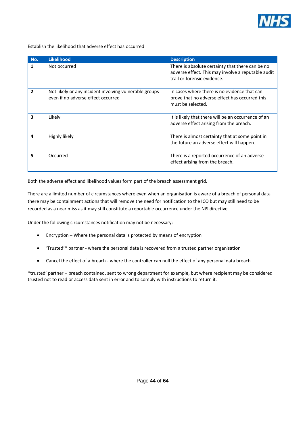

Establish the likelihood that adverse effect has occurred

| No. | <b>Likelihood</b>                                                                            | <b>Description</b>                                                                                                                    |
|-----|----------------------------------------------------------------------------------------------|---------------------------------------------------------------------------------------------------------------------------------------|
| 1   | Not occurred                                                                                 | There is absolute certainty that there can be no<br>adverse effect. This may involve a reputable audit<br>trail or forensic evidence. |
| 2   | Not likely or any incident involving vulnerable groups<br>even if no adverse effect occurred | In cases where there is no evidence that can<br>prove that no adverse effect has occurred this<br>must be selected.                   |
| 3   | Likely                                                                                       | It is likely that there will be an occurrence of an<br>adverse effect arising from the breach.                                        |
| Δ   | Highly likely                                                                                | There is almost certainty that at some point in<br>the future an adverse effect will happen.                                          |
| 5   | Occurred                                                                                     | There is a reported occurrence of an adverse<br>effect arising from the breach.                                                       |

Both the adverse effect and likelihood values form part of the breach assessment grid.

There are a limited number of circumstances where even when an organisation is aware of a breach of personal data there may be containment actions that will remove the need for notification to the ICO but may still need to be recorded as a near miss as it may still constitute a reportable occurrence under the NIS directive.

Under the following circumstances notification may not be necessary:

- Encryption Where the personal data is protected by means of encryption
- 'Trusted'\* partner where the personal data is recovered from a trusted partner organisation
- Cancel the effect of a breach where the controller can null the effect of any personal data breach

\*trusted' partner – breach contained, sent to wrong department for example, but where recipient may be considered trusted not to read or access data sent in error and to comply with instructions to return it.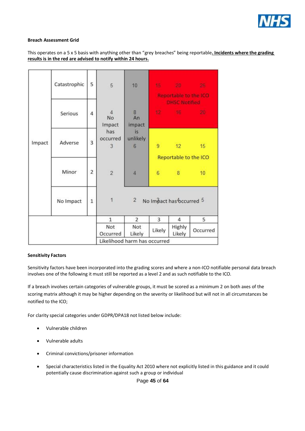

#### **Breach Assessment Grid**

#### This operates on a 5 x 5 basis with anything other than "grey breaches" being reportable**. Incidents where the grading results is in the red are advised to notify within 24 hours.**

| Impact | Catastrophic | 5              | 5                                                      | 10                                                                  |                | 15 20 3<br><b>Reportable to the ICO</b> | 25.      |  |
|--------|--------------|----------------|--------------------------------------------------------|---------------------------------------------------------------------|----------------|-----------------------------------------|----------|--|
|        | Serious      | 4              | $\overline{4}$<br>No<br>Impact<br>has<br>occurred<br>3 | $\overline{8}$<br>An<br>impact<br>is.<br>unlikely<br>$6\phantom{1}$ |                | <b>DHSC Notified</b><br>12 116 20       |          |  |
|        | Adverse      | $\overline{3}$ |                                                        |                                                                     | $\overline{9}$ | 12<br>Reportable to the ICO             | 15       |  |
|        | Minor        | 2              | $\overline{2}$                                         | 4                                                                   | $6^{\circ}$    | 8 <sup>1</sup>                          | 10       |  |
|        | No Impact    | $\mathbf{1}$   | $\uparrow$                                             | $\overline{2}$<br>No Impact has bccurred 5                          |                |                                         |          |  |
|        |              |                | $\mathbf{1}$                                           | $\overline{2}$                                                      | 3              | 4                                       | 5        |  |
|        |              |                | Not<br>Occurred                                        | Not<br>Likely                                                       | Likely         | Highly<br>Likely                        | Occurred |  |
|        |              |                | Likelihood harm has occurred                           |                                                                     |                |                                         |          |  |

#### **Sensitivity Factors**

Sensitivity factors have been incorporated into the grading scores and where a non-ICO notifiable personal data breach involves one of the following it must still be reported as a level 2 and as such notifiable to the ICO.

If a breach involves certain categories of vulnerable groups, it must be scored as a minimum 2 on both axes of the scoring matrix although it may be higher depending on the severity or likelihood but will not in all circumstances be notified to the ICO;

For clarity special categories under GDPR/DPA18 not listed below include:

- Vulnerable children
- Vulnerable adults
- Criminal convictions/prisoner information
- Special characteristics listed in the Equality Act 2010 where not explicitly listed in this guidance and it could potentially cause discrimination against such a group or individual

Page **45** of **64**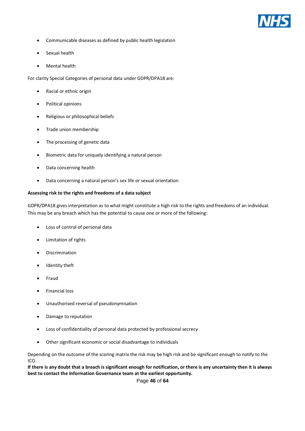

- Communicable diseases as defined by public health legislation
- Sexual health
- Mental health

For clarity Special Categories of personal data under GDPR/DPA18 are:

- Racial or ethnic origin
- Political opinions
- Religious or philosophical beliefs
- Trade union membership
- The processing of genetic data
- Biometric data for uniquely identifying a natural person
- Data concerning health
- Data concerning a natural person's sex life or sexual orientation

#### **Assessing risk to the rights and freedoms of a data subject**

GDPR/DPA18 gives interpretation as to what might constitute a high risk to the rights and freedoms of an individual. This may be any breach which has the potential to cause one or more of the following:

- Loss of control of personal data
- Limitation of rights
- Discrimination
- Identity theft
- Fraud
- Financial loss
- Unauthorised reversal of pseudonymisation
- Damage to reputation
- Loss of confidentiality of personal data protected by professional secrecy
- Other significant economic or social disadvantage to individuals

Depending on the outcome of the scoring matrix the risk may be high risk and be significant enough to notify to the ICO.

**If there is any doubt that a breach is significant enough for notification, or there is any uncertainty then it is always best to contact the Information Governance team at the earliest opportunity.**

Page **46** of **64**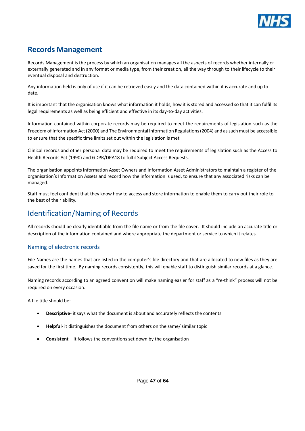

# <span id="page-46-0"></span>**Records Management**

Records Management is the process by which an organisation manages all the aspects of records whether internally or externally generated and in any format or media type, from their creation, all the way through to their lifecycle to their eventual disposal and destruction.

Any information held is only of use if it can be retrieved easily and the data contained within it is accurate and up to date.

It is important that the organisation knows what information it holds, how it is stored and accessed so that it can fulfil its legal requirements as well as being efficient and effective in its day-to-day activities.

Information contained within corporate records may be required to meet the requirements of legislation such as the Freedom of Information Act (2000) and The Environmental Information Regulations (2004) and as such must be accessible to ensure that the specific time limits set out within the legislation is met.

Clinical records and other personal data may be required to meet the requirements of legislation such as the Access to Health Records Act (1990) and GDPR/DPA18 to fulfil Subject Access Requests.

The organisation appoints Information Asset Owners and Information Asset Administrators to maintain a register of the organisation's Information Assets and record how the information is used, to ensure that any associated risks can be managed.

Staff must feel confident that they know how to access and store information to enable them to carry out their role to the best of their ability.

# <span id="page-46-1"></span>Identification/Naming of Records

All records should be clearly identifiable from the file name or from the file cover. It should include an accurate title or description of the information contained and where appropriate the department or service to which it relates.

#### <span id="page-46-2"></span>Naming of electronic records

File Names are the names that are listed in the computer's file directory and that are allocated to new files as they are saved for the first time. By naming records consistently, this will enable staff to distinguish similar records at a glance.

Naming records according to an agreed convention will make naming easier for staff as a "re-think" process will not be required on every occasion.

A file title should be:

- **Descriptive** it says what the document is about and accurately reflects the contents
- **Helpful** it distinguishes the document from others on the same/ similar topic
- **Consistent** it follows the conventions set down by the organisation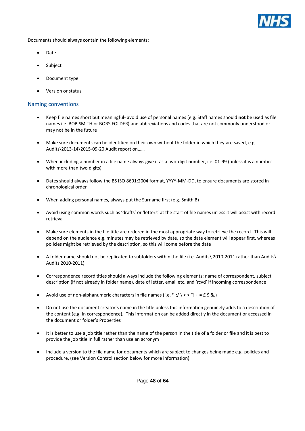

Documents should always contain the following elements:

- Date
- **Subject**
- Document type
- Version or status

#### <span id="page-47-0"></span>Naming conventions

- Keep file names short but meaningful- avoid use of personal names (e.g. Staff names should **not** be used as file names i.e. BOB SMITH or BOBS FOLDER) and abbreviations and codes that are not commonly understood or may not be in the future
- Make sure documents can be identified on their own without the folder in which they are saved, e.g. Audits\2013-14\2015-09-20 Audit report on……
- When including a number in a file name always give it as a two-digit number, i.e. 01-99 (unless it is a number with more than two digits)
- Dates should always follow the BS ISO 8601:2004 format, YYYY-MM-DD, to ensure documents are stored in chronological order
- When adding personal names, always put the Surname first (e.g. Smith B)
- Avoid using common words such as 'drafts' or 'letters' at the start of file names unless it will assist with record retrieval
- Make sure elements in the file title are ordered in the most appropriate way to retrieve the record. This will depend on the audience e.g. minutes may be retrieved by date, so the date element will appear first, whereas policies might be retrieved by the description, so this will come before the date
- A folder name should not be replicated to subfolders within the file (i.e. Audits\ 2010-2011 rather than Audits\ Audits 2010-2011)
- Correspondence record titles should always include the following elements: name of correspondent, subject description (if not already in folder name), date of letter, email etc. and 'rcvd' if incoming correspondence
- Avoid use of non-alphanumeric characters in file names (i.e.  $*$  :/  $\langle \langle \rangle$  = f  $\langle \rangle$  &,)
- Do not use the document creator's name in the title unless this information genuinely adds to a description of the content (e.g. in correspondence). This information can be added directly in the document or accessed in the document or folder's Properties
- It is better to use a job title rather than the name of the person in the title of a folder or file and it is best to provide the job title in full rather than use an acronym
- Include a version to the file name for documents which are subject to changes being made e.g. policies and procedure, (see Version Control section below for more information)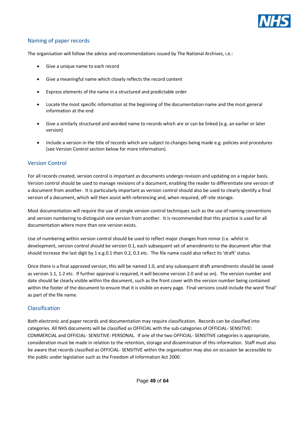

#### <span id="page-48-0"></span>Naming of paper records

The organisation will follow the advice and recommendations issued by The National Archives, i.e.:

- Give a unique name to each record
- Give a meaningful name which closely reflects the record content
- Express elements of the name in a structured and predictable order
- Locate the most specific information at the beginning of the documentation name and the most general information at the end
- Give a similarly structured and worded name to records which are or can be linked (e.g. an earlier or later version)
- Include a version in the title of records which are subject to changes being made e.g. policies and procedures (see Version Control section below for more information).

#### <span id="page-48-1"></span>Version Control

For all records created, version control is important as documents undergo revision and updating on a regular basis. Version control should be used to manage revisions of a document, enabling the reader to differentiate one version of a document from another. It is particularly important as version control should also be used to clearly identify a final version of a document, which will then assist with referencing and, when required, off-site storage.

Most documentation will require the use of simple version control techniques such as the use of naming conventions and version numbering to distinguish one version from another. It is recommended that this practice is used for all documentation where more than one version exists.

Use of numbering within version control should be used to reflect major changes from minor (i.e. whilst in development, version control should be version 0.1, each subsequent set of amendments to the document after that should increase the last digit by 1 e.g.0.1 then 0.2, 0.3 etc. The file name could also reflect its 'draft' status.

Once there is a final approved version, this will be named 1.0, and any subsequent draft amendments should be saved as version 1.1, 1.2 etc. If further approval is required, it will become version 2.0 and so on). The version number and date should be clearly visible within the document, such as the front cover with the version number being contained within the footer of the document to ensure that it is visible on every page. Final versions could include the word 'final' as part of the file name.

#### <span id="page-48-2"></span>Classification

Both electronic and paper records and documentation may require classification. Records can be classified into categories. All NHS documents will be classified as OFFICIAL with the sub-categories of OFFICIAL- SENSITIVE: COMMERCIAL and OFFICIAL- SENSITIVE: PERSONAL. If one of the two OFFICIAL- SENSITIVE categories is appropriate, consideration must be made in relation to the retention, storage and dissemination of this information. Staff must also be aware that records classified as OFFICIAL- SENSITIVE within the organisation may also on occasion be accessible to the public under legislation such as the Freedom of Information Act 2000.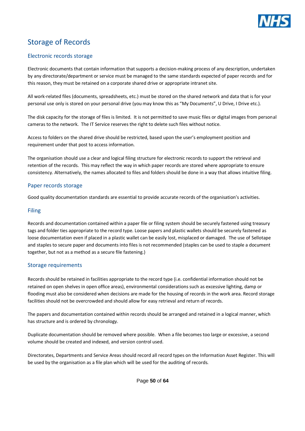

# <span id="page-49-0"></span>Storage of Records

#### <span id="page-49-1"></span>Electronic records storage

Electronic documents that contain information that supports a decision-making process of any description, undertaken by any directorate/department or service must be managed to the same standards expected of paper records and for this reason, they must be retained on a corporate shared drive or appropriate intranet site.

All work-related files (documents, spreadsheets, etc.) must be stored on the shared network and data that is for your personal use only is stored on your personal drive (you may know this as "My Documents", U Drive, I Drive etc.).

The disk capacity for the storage of files is limited. It is not permitted to save music files or digital images from personal cameras to the network. The IT Service reserves the right to delete such files without notice.

Access to folders on the shared drive should be restricted, based upon the user's employment position and requirement under that post to access information.

The organisation should use a clear and logical filing structure for electronic records to support the retrieval and retention of the records. This may reflect the way in which paper records are stored where appropriate to ensure consistency. Alternatively, the names allocated to files and folders should be done in a way that allows intuitive filing.

#### <span id="page-49-2"></span>Paper records storage

Good quality documentation standards are essential to provide accurate records of the organisation's activities.

#### <span id="page-49-3"></span>Filing

Records and documentation contained within a paper file or filing system should be securely fastened using treasury tags and folder ties appropriate to the record type. Loose papers and plastic wallets should be securely fastened as loose documentation even if placed in a plastic wallet can be easily lost, misplaced or damaged. The use of Sellotape and staples to secure paper and documents into files is not recommended (staples can be used to staple a document together, but not as a method as a secure file fastening.)

#### <span id="page-49-4"></span>Storage requirements

Records should be retained in facilities appropriate to the record type (i.e. confidential information should not be retained on open shelves in open office areas), environmental considerations such as excessive lighting, damp or flooding must also be considered when decisions are made for the housing of records in the work area. Record storage facilities should not be overcrowded and should allow for easy retrieval and return of records.

The papers and documentation contained within records should be arranged and retained in a logical manner, which has structure and is ordered by chronology.

Duplicate documentation should be removed where possible. When a file becomes too large or excessive, a second volume should be created and indexed, and version control used.

Directorates, Departments and Service Areas should record all record types on the Information Asset Register. This will be used by the organisation as a file plan which will be used for the auditing of records.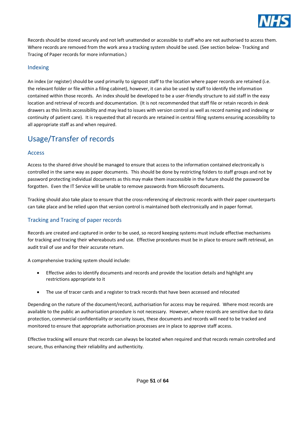

Records should be stored securely and not left unattended or accessible to staff who are not authorised to access them. Where records are removed from the work area a tracking system should be used. (See section below- Tracking and Tracing of Paper records for more information.)

#### <span id="page-50-0"></span>Indexing

An index (or register) should be used primarily to signpost staff to the location where paper records are retained (i.e. the relevant folder or file within a filing cabinet), however, it can also be used by staff to identify the information contained within those records. An index should be developed to be a user-friendly structure to aid staff in the easy location and retrieval of records and documentation. (It is not recommended that staff file or retain records in desk drawers as this limits accessibility and may lead to issues with version control as well as record naming and indexing or continuity of patient care). It is requested that all records are retained in central filing systems ensuring accessibility to all appropriate staff as and when required.

# <span id="page-50-1"></span>Usage/Transfer of records

#### <span id="page-50-2"></span>Access

Access to the shared drive should be managed to ensure that access to the information contained electronically is controlled in the same way as paper documents. This should be done by restricting folders to staff groups and not by password protecting individual documents as this may make them inaccessible in the future should the password be forgotten. Even the IT Service will be unable to remove passwords from Microsoft documents.

Tracking should also take place to ensure that the cross-referencing of electronic records with their paper counterparts can take place and be relied upon that version control is maintained both electronically and in paper format.

#### <span id="page-50-3"></span>Tracking and Tracing of paper records

Records are created and captured in order to be used, so record keeping systems must include effective mechanisms for tracking and tracing their whereabouts and use. Effective procedures must be in place to ensure swift retrieval, an audit trail of use and for their accurate return.

A comprehensive tracking system should include:

- Effective aides to identify documents and records and provide the location details and highlight any restrictions appropriate to it
- The use of tracer cards and a register to track records that have been accessed and relocated

Depending on the nature of the document/record, authorisation for access may be required. Where most records are available to the public an authorisation procedure is not necessary. However, where records are sensitive due to data protection, commercial confidentiality or security issues, these documents and records will need to be tracked and monitored to ensure that appropriate authorisation processes are in place to approve staff access.

Effective tracking will ensure that records can always be located when required and that records remain controlled and secure, thus enhancing their reliability and authenticity.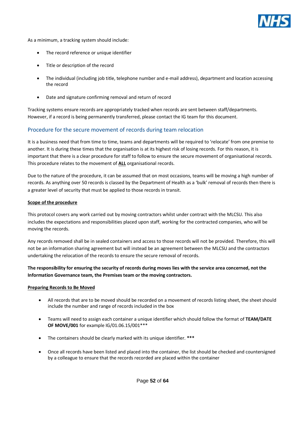

As a minimum, a tracking system should include:

- The record reference or unique identifier
- Title or description of the record
- The individual (including job title, telephone number and e-mail address), department and location accessing the record
- Date and signature confirming removal and return of record

Tracking systems ensure records are appropriately tracked when records are sent between staff/departments. However, if a record is being permanently transferred, please contact the IG team for this document.

#### <span id="page-51-0"></span>Procedure for the secure movement of records during team relocation

It is a business need that from time to time, teams and departments will be required to 'relocate' from one premise to another. It is during these times that the organisation is at its highest risk of losing records. For this reason, it is important that there is a clear procedure for staff to follow to ensure the secure movement of organisational records. This procedure relates to the movement of **ALL** organisational records.

Due to the nature of the procedure, it can be assumed that on most occasions, teams will be moving a high number of records. As anything over 50 records is classed by the Department of Health as a 'bulk' removal of records then there is a greater level of security that must be applied to those records in transit.

#### **Scope of the procedure**

This protocol covers any work carried out by moving contractors whilst under contract with the MLCSU. This also includes the expectations and responsibilities placed upon staff, working for the contracted companies, who will be moving the records.

Any records removed shall be in sealed containers and access to those records will not be provided. Therefore, this will not be an information sharing agreement but will instead be an agreement between the MLCSU and the contractors undertaking the relocation of the records to ensure the secure removal of records.

#### **The responsibility for ensuring the security of records during moves lies with the service area concerned, not the Information Governance team, the Premises team or the moving contractors.**

#### **Preparing Records to Be Moved**

- All records that are to be moved should be recorded on a movement of records listing sheet, the sheet should include the number and range of records included in the box
- Teams will need to assign each container a unique identifier which should follow the format of **TEAM/DATE OF MOVE/001** for example IG/01.06.15/001\*\*\*
- The containers should be clearly marked with its unique identifier. **\*\*\***
- Once all records have been listed and placed into the container, the list should be checked and countersigned by a colleague to ensure that the records recorded are placed within the container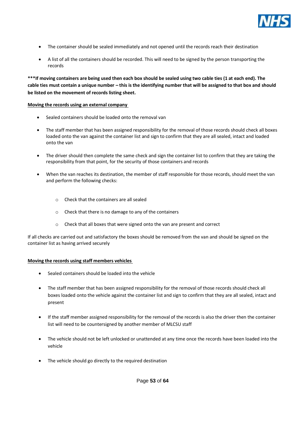

- The container should be sealed immediately and not opened until the records reach their destination
- A list of all the containers should be recorded. This will need to be signed by the person transporting the records

**\*\*\*If moving containers are being used then each box should be sealed using two cable ties (1 at each end). The cable ties must contain a unique number – this is the identifying number that will be assigned to that box and should be listed on the movement of records listing sheet.**

#### **Moving the records using an external company**

- Sealed containers should be loaded onto the removal van
- The staff member that has been assigned responsibility for the removal of those records should check all boxes loaded onto the van against the container list and sign to confirm that they are all sealed, intact and loaded onto the van
- The driver should then complete the same check and sign the container list to confirm that they are taking the responsibility from that point, for the security of those containers and records
- When the van reaches its destination, the member of staff responsible for those records, should meet the van and perform the following checks:
	- o Check that the containers are all sealed
	- o Check that there is no damage to any of the containers
	- o Check that all boxes that were signed onto the van are present and correct

If all checks are carried out and satisfactory the boxes should be removed from the van and should be signed on the container list as having arrived securely

#### **Moving the records using staff members vehicles**

- Sealed containers should be loaded into the vehicle
- The staff member that has been assigned responsibility for the removal of those records should check all boxes loaded onto the vehicle against the container list and sign to confirm that they are all sealed, intact and present
- If the staff member assigned responsibility for the removal of the records is also the driver then the container list will need to be countersigned by another member of MLCSU staff
- The vehicle should not be left unlocked or unattended at any time once the records have been loaded into the vehicle
- The vehicle should go directly to the required destination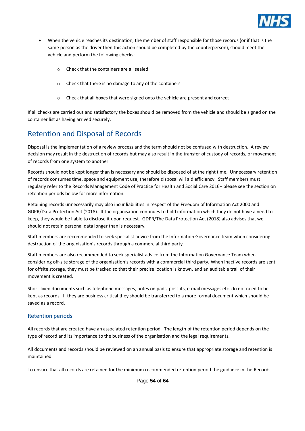

- When the vehicle reaches its destination, the member of staff responsible for those records (or if that is the same person as the driver then this action should be completed by the counterperson), should meet the vehicle and perform the following checks:
	- o Check that the containers are all sealed
	- o Check that there is no damage to any of the containers
	- o Check that all boxes that were signed onto the vehicle are present and correct

If all checks are carried out and satisfactory the boxes should be removed from the vehicle and should be signed on the container list as having arrived securely.

# <span id="page-53-0"></span>Retention and Disposal of Records

Disposal is the implementation of a review process and the term should not be confused with destruction. A review decision may result in the destruction of records but may also result in the transfer of custody of records, or movement of records from one system to another.

Records should not be kept longer than is necessary and should be disposed of at the right time. Unnecessary retention of records consumes time, space and equipment use, therefore disposal will aid efficiency. Staff members must regularly refer to the Records Management Code of Practice for Health and Social Care 2016– please see the section on retention periods below for more information.

Retaining records unnecessarily may also incur liabilities in respect of the Freedom of Information Act 2000 and GDPR/Data Protection Act (2018). If the organisation continues to hold information which they do not have a need to keep, they would be liable to disclose it upon request. GDPR/The Data Protection Act (2018) also advises that we should not retain personal data longer than is necessary.

Staff members are recommended to seek specialist advice from the Information Governance team when considering destruction of the organisation's records through a commercial third party.

Staff members are also recommended to seek specialist advice from the Information Governance Team when considering off-site storage of the organisation's records with a commercial third party. When inactive records are sent for offsite storage, they must be tracked so that their precise location is known, and an auditable trail of their movement is created.

Short-lived documents such as telephone messages, notes on pads, post-its, e-mail messages etc. do not need to be kept as records. If they are business critical they should be transferred to a more formal document which should be saved as a record.

#### <span id="page-53-1"></span>Retention periods

All records that are created have an associated retention period. The length of the retention period depends on the type of record and its importance to the business of the organisation and the legal requirements.

All documents and records should be reviewed on an annual basis to ensure that appropriate storage and retention is maintained.

To ensure that all records are retained for the minimum recommended retention period the guidance in the Records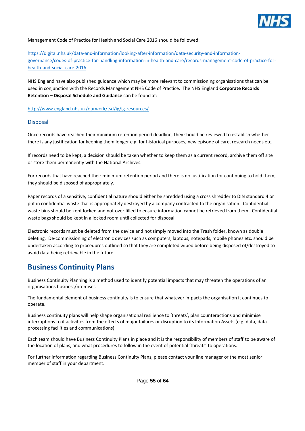

Management Code of Practice for Health and Social Care 2016 should be followed:

[https://digital.nhs.uk/data-and-information/looking-after-information/data-security-and-information](https://digital.nhs.uk/data-and-information/looking-after-information/data-security-and-information-governance/codes-of-practice-for-handling-information-in-health-and-care/records-management-code-of-practice-for-health-and-social-care-2016)[governance/codes-of-practice-for-handling-information-in-health-and-care/records-management-code-of-practice-for](https://digital.nhs.uk/data-and-information/looking-after-information/data-security-and-information-governance/codes-of-practice-for-handling-information-in-health-and-care/records-management-code-of-practice-for-health-and-social-care-2016)[health-and-social-care-2016](https://digital.nhs.uk/data-and-information/looking-after-information/data-security-and-information-governance/codes-of-practice-for-handling-information-in-health-and-care/records-management-code-of-practice-for-health-and-social-care-2016)

NHS England have also published guidance which may be more relevant to commissioning organisations that can be used in conjunction with the Records Management NHS Code of Practice. The NHS England **Corporate Records Retention – Disposal Schedule and Guidance** can be found at:

<http://www.england.nhs.uk/ourwork/tsd/ig/ig-resources/>

#### <span id="page-54-0"></span>Disposal

Once records have reached their minimum retention period deadline, they should be reviewed to establish whether there is any justification for keeping them longer e.g. for historical purposes, new episode of care, research needs etc.

If records need to be kept, a decision should be taken whether to keep them as a current record, archive them off site or store them permanently with the National Archives.

For records that have reached their minimum retention period and there is no justification for continuing to hold them, they should be disposed of appropriately.

Paper records of a sensitive, confidential nature should either be shredded using a cross shredder to DIN standard 4 or put in confidential waste that is appropriately destroyed by a company contracted to the organisation. Confidential waste bins should be kept locked and not over filled to ensure information cannot be retrieved from them. Confidential waste bags should be kept in a locked room until collected for disposal.

Electronic records must be deleted from the device and not simply moved into the Trash folder, known as double deleting. De-commissioning of electronic devices such as computers, laptops, notepads, mobile phones etc. should be undertaken according to procedures outlined so that they are completed wiped before being disposed of/destroyed to avoid data being retrievable in the future.

# <span id="page-54-1"></span>**Business Continuity Plans**

Business Continuity Planning is a method used to identify potential impacts that may threaten the operations of an organisations business/premises.

The fundamental element of business continuity is to ensure that whatever impacts the organisation it continues to operate.

Business continuity plans will help shape organisational resilience to 'threats', plan counteractions and minimise interruptions to it activities from the effects of major failures or disruption to its Information Assets (e.g. data, data processing facilities and communications).

Each team should have Business Continuity Plans in place and it is the responsibility of members of staff to be aware of the location of plans, and what procedures to follow in the event of potential 'threats' to operations.

For further information regarding Business Continuity Plans, please contact your line manager or the most senior member of staff in your department.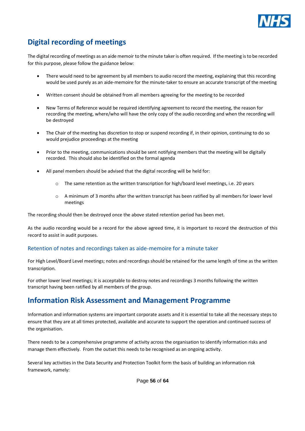

# <span id="page-55-0"></span>**Digital recording of meetings**

The digital recording of meetings as an aide memoir to the minute taker is often required. If the meeting is to be recorded for this purpose, please follow the guidance below:

- There would need to be agreement by all members to audio record the meeting, explaining that this recording would be used purely as an aide-memoire for the minute-taker to ensure an accurate transcript of the meeting
- Written consent should be obtained from all members agreeing for the meeting to be recorded
- New Terms of Reference would be required identifying agreement to record the meeting, the reason for recording the meeting, where/who will have the only copy of the audio recording and when the recording will be destroyed
- The Chair of the meeting has discretion to stop or suspend recording if, in their opinion, continuing to do so would prejudice proceedings at the meeting
- Prior to the meeting, communications should be sent notifying members that the meeting will be digitally recorded. This should also be identified on the formal agenda
- All panel members should be advised that the digital recording will be held for:
	- $\circ$  The same retention as the written transcription for high/board level meetings, i.e. 20 years
	- o A minimum of 3 months after the written transcript has been ratified by all members for lower level meetings

The recording should then be destroyed once the above stated retention period has been met.

As the audio recording would be a record for the above agreed time, it is important to record the destruction of this record to assist in audit purposes.

#### <span id="page-55-1"></span>Retention of notes and recordings taken as aide-memoire for a minute taker

For High Level/Board Level meetings; notes and recordings should be retained for the same length of time as the written transcription.

For other lower level meetings; it is acceptable to destroy notes and recordings 3 months following the written transcript having been ratified by all members of the group.

# <span id="page-55-2"></span>**Information Risk Assessment and Management Programme**

Information and information systems are important corporate assets and it is essential to take all the necessary steps to ensure that they are at all times protected, available and accurate to support the operation and continued success of the organisation.

There needs to be a comprehensive programme of activity across the organisation to identify information risks and manage them effectively. From the outset this needs to be recognised as an ongoing activity.

Several key activities in the Data Security and Protection Toolkit form the basis of building an information risk framework, namely: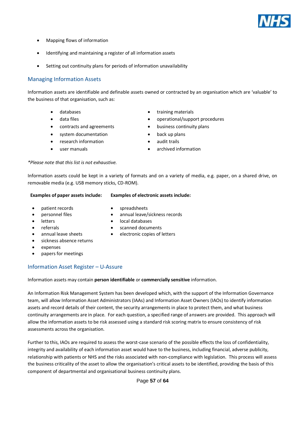

- Mapping flows of information
- Identifying and maintaining a register of all information assets
- Setting out continuity plans for periods of information unavailability

#### <span id="page-56-0"></span>Managing Information Assets

Information assets are identifiable and definable assets owned or contracted by an organisation which are 'valuable' to the business of that organisation, such as:

- 
- 
- 
- system documentation **•** back up plans
- research information **•** audit trails
- 
- databases **•** training materials
- data files **•** operational/support procedures
- contracts and agreements business continuity plans
	-
	-
	- user manuals **•** archived information

#### *\*Please note that this list is not exhaustive.*

Information assets could be kept in a variety of formats and on a variety of media, e.g. paper, on a shared drive, on removable media (e.g. USB memory sticks, CD-ROM).

#### **Examples of paper assets include: Examples of electronic assets include:**

- patient records **•** spreadsheets
	-
- personnel files annual leave/sickness records
- 
- letters **•** local databases
- - referrals **•** scanned documents
	- annual leave sheets electronic copies of letters
- sickness absence returns
- expenses
- papers for meetings

#### <span id="page-56-1"></span>Information Asset Register – U-Assure

Information assets may contain **person identifiable** or **commercially sensitive** information.

An Information Risk Management System has been developed which, with the support of the Information Governance team, will allow Information Asset Administrators (IAAs) and Information Asset Owners (IAOs) to identify information assets and record details of their content, the security arrangements in place to protect them, and what business continuity arrangements are in place. For each question, a specified range of answers are provided. This approach will allow the information assets to be risk assessed using a standard risk scoring matrix to ensure consistency of risk assessments across the organisation.

Further to this, IAOs are required to assess the worst-case scenario of the possible effects the loss of confidentiality, integrity and availability of each information asset would have to the business, including financial, adverse publicity, relationship with patients or NHS and the risks associated with non-compliance with legislation. This process will assess the business criticality of the asset to allow the organisation's critical assets to be identified, providing the basis of this component of departmental and organisational business continuity plans.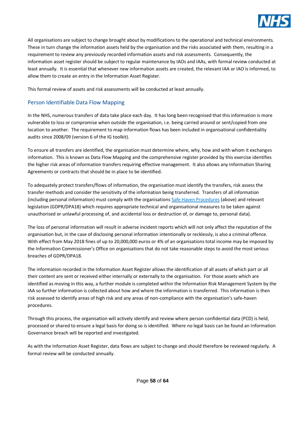

All organisations are subject to change brought about by modifications to the operational and technical environments. These in turn change the information assets held by the organisation and the risks associated with them, resulting in a requirement to review any previously recorded information assets and risk assessments. Consequently, the information asset register should be subject to regular maintenance by IAOs and IAAs, with formal review conducted at least annually. It is essential that whenever new information assets are created, the relevant IAA or IAO is informed, to allow them to create an entry in the Information Asset Register.

This formal review of assets and risk assessments will be conducted at least annually.

#### <span id="page-57-0"></span>Person Identifiable Data Flow Mapping

In the NHS, numerous transfers of data take place each day. It has long been recognised that this information is more vulnerable to loss or compromise when outside the organisation, i.e. being carried around or sent/copied from one location to another. The requirement to map information flows has been included in organisational confidentiality audits since 2008/09 (version 6 of the IG toolkit).

To ensure all transfers are identified, the organisation must determine where, why, how and with whom it exchanges information. This is known as Data Flow Mapping and the comprehensive register provided by this exercise identifies the higher risk areas of information transfers requiring effective management. It also allows any Information Sharing Agreements or contracts that should be in place to be identified.

To adequately protect transfers/flows of information, the organisation must identify the transfers, risk assess the transfer methods and consider the sensitivity of the information being transferred. Transfers of all information (including personal information) must comply with the organisations Safe Haven Procedures (above) and relevant legislation (GDPR/DPA18) which requires appropriate technical and organisational measures to be taken against unauthorised or unlawful processing of, and accidental loss or destruction of, or damage to, personal data).

The loss of personal information will result in adverse incident reports which will not only affect the reputation of the organisation but, in the case of disclosing personal information intentionally or recklessly, is also a criminal offence. With effect from May 2018 fines of up to 20,000,000 euros or 4% of an organisations total income may be imposed by the Information Commissioner's Office on organisations that do not take reasonable steps to avoid the most serious breaches of GDPR/DPA18.

The information recorded in the Information Asset Register allows the identification of all assets of which part or all their content are sent or received either internally or externally to the organisation. For those assets which are identified as moving in this way, a further module is completed within the Information Risk Management System by the IAA so further information is collected about how and where the information is transferred. This information is then risk assessed to identify areas of high risk and any areas of non-compliance with the organisation's safe-haven procedures.

Through this process, the organisation will actively identify and review where person confidential data (PCD) is held, processed or shared to ensure a legal basis for doing so is identified. Where no legal basis can be found an Information Governance breach will be reported and investigated.

As with the Information Asset Register, data flows are subject to change and should therefore be reviewed regularly. A formal review will be conducted annually.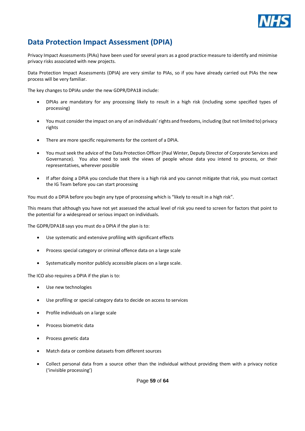

# <span id="page-58-0"></span>**Data Protection Impact Assessment (DPIA)**

Privacy Impact Assessments (PIAs) have been used for several years as a good practice measure to identify and minimise privacy risks associated with new projects.

Data Protection Impact Assessments (DPIA) are very similar to PIAs, so if you have already carried out PIAs the new process will be very familiar.

The key changes to DPIAs under the new GDPR/DPA18 include:

- DPIAs are mandatory for any processing likely to result in a high risk (including some specified types of processing)
- You must consider the impact on any of an individuals' rights and freedoms, including (but not limited to) privacy rights
- There are more specific requirements for the content of a DPIA.
- You must seek the advice of the Data Protection Officer (Paul Winter, Deputy Director of Corporate Services and Governance). You also need to seek the views of people whose data you intend to process, or their representatives, wherever possible
- If after doing a DPIA you conclude that there is a high risk and you cannot mitigate that risk, you must contact the IG Team before you can start processing

You must do a DPIA before you begin any type of processing which is "likely to result in a high risk".

This means that although you have not yet assessed the actual level of risk you need to screen for factors that point to the potential for a widespread or serious impact on individuals.

The GDPR/DPA18 says you must do a DPIA if the plan is to:

- Use systematic and extensive profiling with significant effects
- Process special category or criminal offence data on a large scale
- Systematically monitor publicly accessible places on a large scale.

The ICO also requires a DPIA if the plan is to:

- Use new technologies
- Use profiling or special category data to decide on access to services
- Profile individuals on a large scale
- Process biometric data
- Process genetic data
- Match data or combine datasets from different sources
- Collect personal data from a source other than the individual without providing them with a privacy notice ('invisible processing')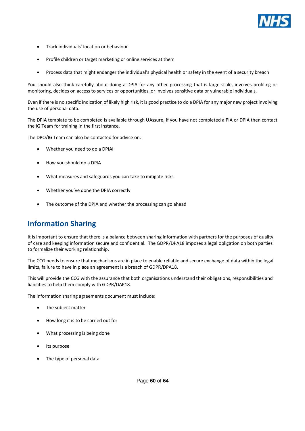

- Track individuals' location or behaviour
- Profile children or target marketing or online services at them
- Process data that might endanger the individual's physical health or safety in the event of a security breach

You should also think carefully about doing a DPIA for any other processing that is large scale, involves profiling or monitoring, decides on access to services or opportunities, or involves sensitive data or vulnerable individuals.

Even if there is no specific indication of likely high risk, it is good practice to do a DPIA for any major new project involving the use of personal data.

The DPIA template to be completed is available through UAssure, if you have not completed a PIA or DPIA then contact the IG Team for training in the first instance.

The DPO/IG Team can also be contacted for advice on:

- Whether you need to do a DPIAI
- How you should do a DPIA
- What measures and safeguards you can take to mitigate risks
- Whether you've done the DPIA correctly
- The outcome of the DPIA and whether the processing can go ahead

# <span id="page-59-0"></span>**Information Sharing**

It is important to ensure that there is a balance between sharing information with partners for the purposes of quality of care and keeping information secure and confidential. The GDPR/DPA18 imposes a legal obligation on both parties to formalize their working relationship.

The CCG needs to ensure that mechanisms are in place to enable reliable and secure exchange of data within the legal limits, failure to have in place an agreement is a breach of GDPR/DPA18.

This will provide the CCG with the assurance that both organisations understand their obligations, responsibilities and liabilities to help them comply with GDPR/DAP18.

The information sharing agreements document must include:

- The subject matter
- How long it is to be carried out for
- What processing is being done
- Its purpose
- The type of personal data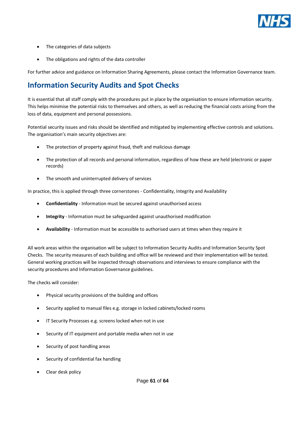

- The categories of data subjects
- The obligations and rights of the data controller

For further advice and guidance on Information Sharing Agreements, please contact the Information Governance team.

# <span id="page-60-0"></span>**Information Security Audits and Spot Checks**

It is essential that all staff comply with the procedures put in place by the organisation to ensure information security. This helps minimise the potential risks to themselves and others, as well as reducing the financial costs arising from the loss of data, equipment and personal possessions.

Potential security issues and risks should be identified and mitigated by implementing effective controls and solutions. The organisation's main security objectives are:

- The protection of property against fraud, theft and malicious damage
- The protection of all records and personal information, regardless of how these are held (electronic or paper records)
- The smooth and uninterrupted delivery of services

In practice, this is applied through three cornerstones - Confidentiality, Integrity and Availability

- **Confidentiality** Information must be secured against unauthorised access
- **Integrity**  Information must be safeguarded against unauthorised modification
- **Availability**  Information must be accessible to authorised users at times when they require it

All work areas within the organisation will be subject to Information Security Audits and Information Security Spot Checks. The security measures of each building and office will be reviewed and their implementation will be tested. General working practices will be inspected through observations and interviews to ensure compliance with the security procedures and Information Governance guidelines.

The checks will consider:

- Physical security provisions of the building and offices
- Security applied to manual files e.g. storage in locked cabinets/locked rooms
- IT Security Processes e.g. screens locked when not in use
- Security of IT equipment and portable media when not in use
- Security of post handling areas
- Security of confidential fax handling
- Clear desk policy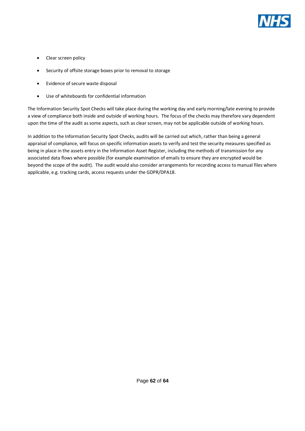

- Clear screen policy
- Security of offsite storage boxes prior to removal to storage
- Evidence of secure waste disposal
- Use of whiteboards for confidential information

The Information Security Spot Checks will take place during the working day and early morning/late evening to provide a view of compliance both inside and outside of working hours. The focus of the checks may therefore vary dependent upon the time of the audit as some aspects, such as clear screen, may not be applicable outside of working hours.

In addition to the Information Security Spot Checks, audits will be carried out which, rather than being a general appraisal of compliance, will focus on specific information assets to verify and test the security measures specified as being in place in the assets entry in the Information Asset Register, including the methods of transmission for any associated data flows where possible (for example examination of emails to ensure they are encrypted would be beyond the scope of the audit). The audit would also consider arrangements for recording access to manual files where applicable, e.g. tracking cards, access requests under the GDPR/DPA18.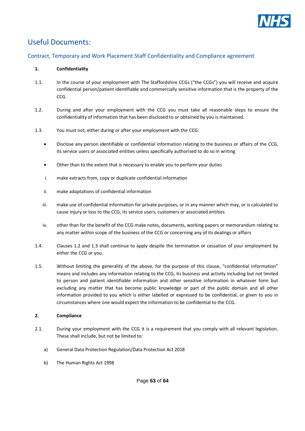

# <span id="page-62-0"></span>Useful Documents:

#### <span id="page-62-1"></span>Contract, Temporary and Work Placement Staff Confidentiality and Compliance agreement

#### **1. Confidentiality**

- 1.1. In the course of your employment with The Staffordshire CCGs ("the CCGs") you will receive and acquire confidential person/patient identifiable and commercially sensitive information that is the property of the CCG.
- 1.2. During and after your employment with the CCG you must take all reasonable steps to ensure the confidentiality of information that has been disclosed to or obtained by you is maintained.
- 1.3. You must not, either during or after your employment with the CCG:
	- Disclose any person identifiable or confidential information relating to the business or affairs of the CCG, its service users or associated entities unless specifically authorised to do so in writing
	- Other than to the extent that is necessary to enable you to perform your duties
	- i. make extracts from, copy or duplicate confidential information
	- ii. make adaptations of confidential information
	- iii. make use of confidential information for private purposes, or in any manner which may, or is calculated to cause injury or loss to the CCG, its service users, customers or associated entities
	- iv. other than for the benefit of the CCG make notes, documents, working papers or memorandum relating to any matter within scope of the business of the CCG or concerning any of its dealings or affairs
- 1.4. Clauses 1.2 and 1.3 shall continue to apply despite the termination or cessation of your employment by either the CCG or you.
- 1.5. Without limiting the generality of the above, for the purpose of this clause, "confidential information" means and includes any information relating to the CCG, its business and activity including but not limited to person and patient identifiable information and other sensitive information in whatever form but excluding any matter that has become public knowledge or part of the public domain and all other information provided to you which is either labelled or expressed to be confidential, or given to you in circumstances where one would expect the information to be confidential to the CCG.

#### **2. Compliance**

- 2.1. During your employment with the CCG it is a requirement that you comply with all relevant legislation. These shall include, but not be limited to:
	- a) General Data Protection Regulation/Data Protection Act 2018
	- b) The Human Rights Act 1998